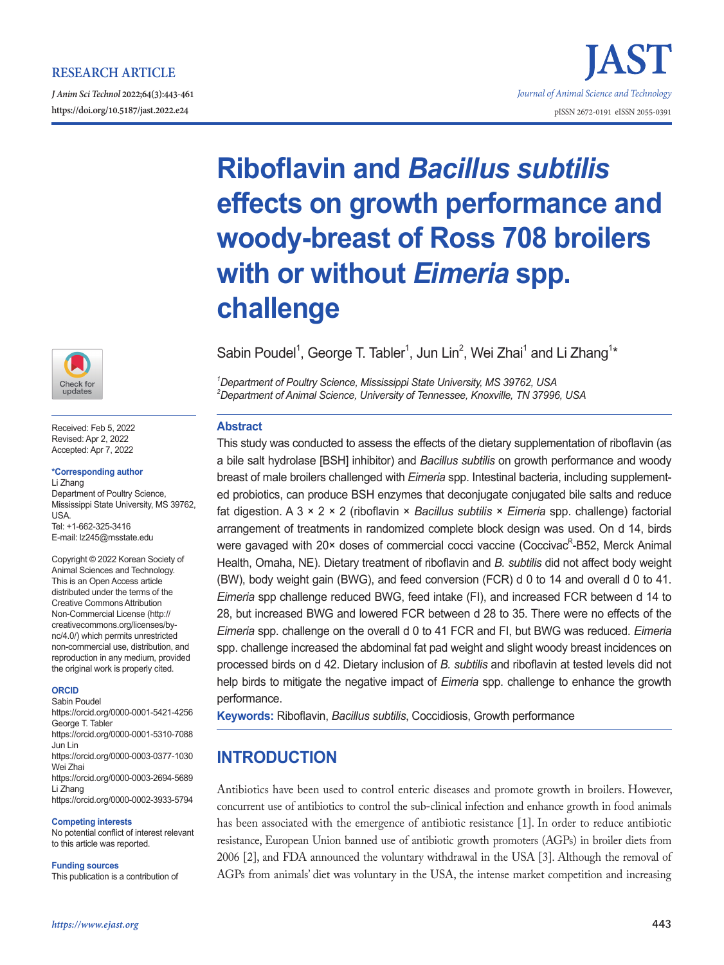# **RESEARCH ARTICLE**

*J Anim Sci Technol* **2022;64(3):443-461 https://doi.org/10.5187/jast.2022.e24** pISSN 2672-0191 eISSN 2055-0391



Received: Feb 5, 2022 Revised: Apr 2, 2022 Accepted: Apr 7, 2022

#### **\*Corresponding author**

Li Zhang Department of Poultry Science, Mississippi State University, MS 39762, USA. Tel: +1-662-325-3416 E-mail: lz245@msstate.edu

Copyright © 2022 Korean Society of Animal Sciences and Technology. This is an Open Access article distributed under the terms of the Creative Commons Attribution Non-Commercial License (http:// creativecommons.org/licenses/bync/4.0/) which permits unrestricted non-commercial use, distribution, and reproduction in any medium, provided the original work is properly cited.

#### **ORCID**

Sabin Poudel https://orcid.org/0000-0001-5421-4256 George T. Tabler https://orcid.org/0000-0001-5310-7088 Jun Lin https://orcid.org/0000-0003-0377-1030 Wei Zhai https://orcid.org/0000-0003-2694-5689 Li Zhang https://orcid.org/0000-0002-3933-5794

#### **Competing interests**

No potential conflict of interest relevant to this article was reported.

#### **Funding sources**

This publication is a contribution of

# *1 Department of Poultry Science, Mississippi State University, MS 39762, USA 2 Department of Animal Science, University of Tennessee, Knoxville, TN 37996, USA* **Abstract** This study was conducted to assess the effects of the dietary supplementation of riboflavin (as a bile salt hydrolase [BSH] inhibitor) and *Bacillus subtilis* on growth performance and woody

**challenge**

breast of male broilers challenged with *Eimeria* spp. Intestinal bacteria, including supplemented probiotics, can produce BSH enzymes that deconjugate conjugated bile salts and reduce fat digestion. A 3 × 2 × 2 (riboflavin × *Bacillus subtilis* × *Eimeria* spp. challenge) factorial arrangement of treatments in randomized complete block design was used. On d 14, birds were gavaged with 20× doses of commercial cocci vaccine (Coccivac<sup>R</sup>-B52, Merck Animal Health, Omaha, NE). Dietary treatment of riboflavin and *B. subtilis* did not affect body weight (BW), body weight gain (BWG), and feed conversion (FCR) d 0 to 14 and overall d 0 to 41. *Eimeria* spp challenge reduced BWG, feed intake (FI), and increased FCR between d 14 to 28, but increased BWG and lowered FCR between d 28 to 35. There were no effects of the *Eimeria* spp. challenge on the overall d 0 to 41 FCR and FI, but BWG was reduced. *Eimeria* spp. challenge increased the abdominal fat pad weight and slight woody breast incidences on processed birds on d 42. Dietary inclusion of *B. subtilis* and riboflavin at tested levels did not help birds to mitigate the negative impact of *Eimeria* spp. challenge to enhance the growth performance.

**Riboflavin and** *Bacillus subtilis*

**with or without** *Eimeria* **spp.** 

**effects on growth performance and** 

**woody-breast of Ross 708 broilers** 

Sabin Poudel<sup>1</sup>, George T. Tabler<sup>1</sup>, Jun Lin<sup>2</sup>, Wei Zhai<sup>1</sup> and Li Zhang<sup>1\*</sup>

**Keywords:** Riboflavin, *Bacillus subtilis*, Coccidiosis, Growth performance

# **INTRODUCTION**

Antibiotics have been used to control enteric diseases and promote growth in broilers. However, concurrent use of antibiotics to control the sub-clinical infection and enhance growth in food animals has been associated with the emergence of antibiotic resistance [1]. In order to reduce antibiotic resistance, European Union banned use of antibiotic growth promoters (AGPs) in broiler diets from 2006 [2], and FDA announced the voluntary withdrawal in the USA [3]. Although the removal of AGPs from animals' diet was voluntary in the USA, the intense market competition and increasing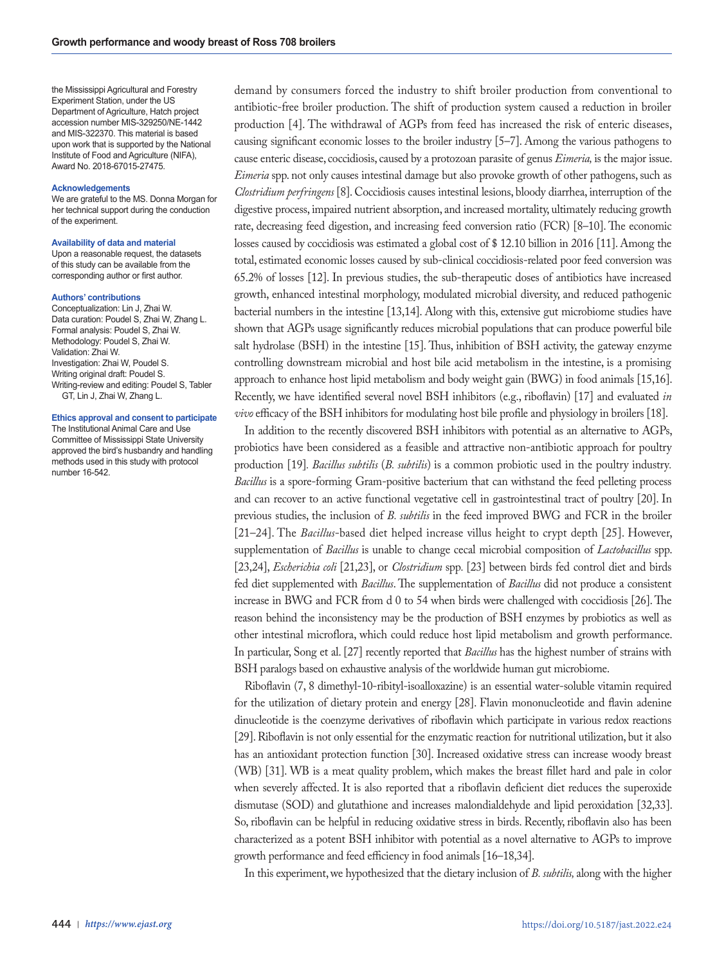the Mississippi Agricultural and Forestry Experiment Station, under the US Department of Agriculture, Hatch project accession number MIS-329250/NE-1442 and MIS-322370. This material is based upon work that is supported by the National Institute of Food and Agriculture (NIFA), Award No. 2018-67015-27475.

#### **Acknowledgements**

We are grateful to the MS. Donna Morgan for her technical support during the conduction of the experiment.

#### **Availability of data and material**

Upon a reasonable request, the datasets of this study can be available from the corresponding author or first author.

#### **Authors' contributions**

Conceptualization: Lin J, Zhai W. Data curation: Poudel S, Zhai W, Zhang L. Formal analysis: Poudel S, Zhai W. Methodology: Poudel S, Zhai W. Validation: Zhai W. Investigation: Zhai W, Poudel S. Writing original draft: Poudel S. Writing-review and editing: Poudel S, Tabler GT, Lin J, Zhai W, Zhang L.

#### **Ethics approval and consent to participate**

The Institutional Animal Care and Use Committee of Mississippi State University approved the bird's husbandry and handling methods used in this study with protocol number 16-542.

demand by consumers forced the industry to shift broiler production from conventional to antibiotic-free broiler production. The shift of production system caused a reduction in broiler production [4]. The withdrawal of AGPs from feed has increased the risk of enteric diseases, causing significant economic losses to the broiler industry [5–7]. Among the various pathogens to cause enteric disease, coccidiosis, caused by a protozoan parasite of genus *Eimeria,* is the major issue. *Eimeria* spp. not only causes intestinal damage but also provoke growth of other pathogens, such as *Clostridium perfringens* [8]. Coccidiosis causes intestinal lesions, bloody diarrhea, interruption of the digestive process, impaired nutrient absorption, and increased mortality, ultimately reducing growth rate, decreasing feed digestion, and increasing feed conversion ratio (FCR) [8–10]. The economic losses caused by coccidiosis was estimated a global cost of \$ 12.10 billion in 2016 [11]. Among the total, estimated economic losses caused by sub-clinical coccidiosis-related poor feed conversion was 65.2% of losses [12]. In previous studies, the sub-therapeutic doses of antibiotics have increased growth, enhanced intestinal morphology, modulated microbial diversity, and reduced pathogenic bacterial numbers in the intestine [13,14]. Along with this, extensive gut microbiome studies have shown that AGPs usage significantly reduces microbial populations that can produce powerful bile salt hydrolase (BSH) in the intestine [15]. Thus, inhibition of BSH activity, the gateway enzyme controlling downstream microbial and host bile acid metabolism in the intestine, is a promising approach to enhance host lipid metabolism and body weight gain (BWG) in food animals [15,16]. Recently, we have identified several novel BSH inhibitors (e.g., riboflavin) [17] and evaluated *in vivo* efficacy of the BSH inhibitors for modulating host bile profile and physiology in broilers [18].

In addition to the recently discovered BSH inhibitors with potential as an alternative to AGPs, probiotics have been considered as a feasible and attractive non-antibiotic approach for poultry production [19]*. Bacillus subtilis* (*B. subtilis*) is a common probiotic used in the poultry industry*. Bacillus* is a spore-forming Gram-positive bacterium that can withstand the feed pelleting process and can recover to an active functional vegetative cell in gastrointestinal tract of poultry [20]. In previous studies, the inclusion of *B. subtilis* in the feed improved BWG and FCR in the broiler [21–24]. The *Bacillus*-based diet helped increase villus height to crypt depth [25]. However, supplementation of *Bacillus* is unable to change cecal microbial composition of *Lactobacillus* spp. [23,24], *Escherichia coli* [21,23], or *Clostridium* spp*.* [23] between birds fed control diet and birds fed diet supplemented with *Bacillus*. The supplementation of *Bacillus* did not produce a consistent increase in BWG and FCR from d 0 to 54 when birds were challenged with coccidiosis [26]. The reason behind the inconsistency may be the production of BSH enzymes by probiotics as well as other intestinal microflora, which could reduce host lipid metabolism and growth performance. In particular, Song et al. [27] recently reported that *Bacillus* has the highest number of strains with BSH paralogs based on exhaustive analysis of the worldwide human gut microbiome.

Riboflavin (7, 8 dimethyl-10-ribityl-isoalloxazine) is an essential water-soluble vitamin required for the utilization of dietary protein and energy [28]. Flavin mononucleotide and flavin adenine dinucleotide is the coenzyme derivatives of riboflavin which participate in various redox reactions [29]. Riboflavin is not only essential for the enzymatic reaction for nutritional utilization, but it also has an antioxidant protection function [30]. Increased oxidative stress can increase woody breast (WB) [31]. WB is a meat quality problem, which makes the breast fillet hard and pale in color when severely affected. It is also reported that a riboflavin deficient diet reduces the superoxide dismutase (SOD) and glutathione and increases malondialdehyde and lipid peroxidation [32,33]. So, riboflavin can be helpful in reducing oxidative stress in birds. Recently, riboflavin also has been characterized as a potent BSH inhibitor with potential as a novel alternative to AGPs to improve growth performance and feed efficiency in food animals [16–18,34].

In this experiment, we hypothesized that the dietary inclusion of *B. subtilis,* along with the higher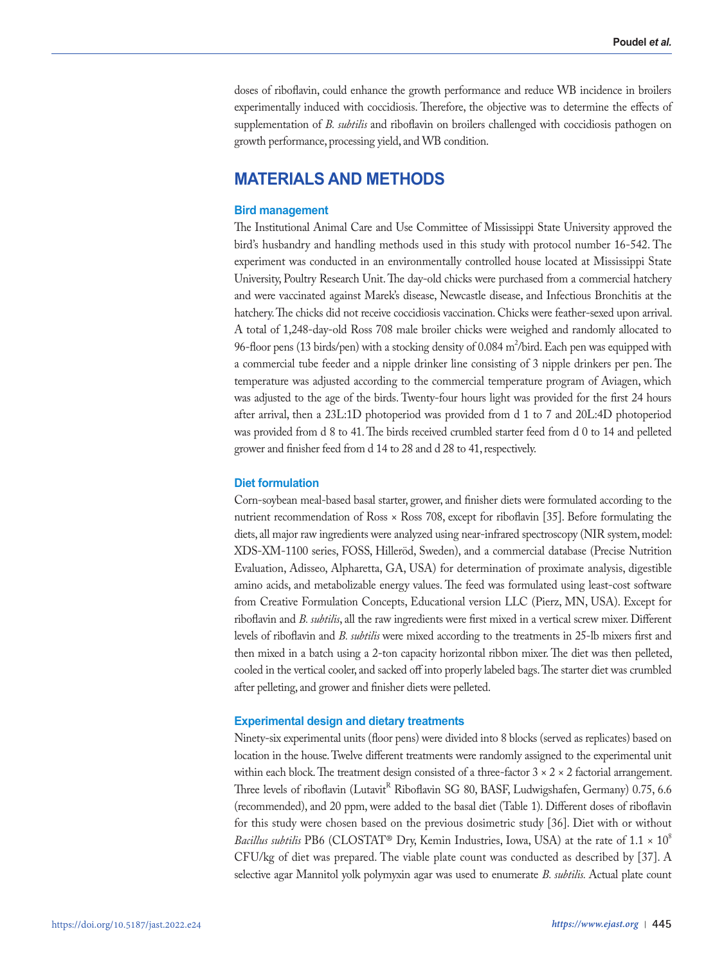doses of riboflavin, could enhance the growth performance and reduce WB incidence in broilers experimentally induced with coccidiosis. Therefore, the objective was to determine the effects of supplementation of *B. subtilis* and riboflavin on broilers challenged with coccidiosis pathogen on growth performance, processing yield, and WB condition.

# **MATERIALS AND METHODS**

# **Bird management**

The Institutional Animal Care and Use Committee of Mississippi State University approved the bird's husbandry and handling methods used in this study with protocol number 16-542. The experiment was conducted in an environmentally controlled house located at Mississippi State University, Poultry Research Unit. The day-old chicks were purchased from a commercial hatchery and were vaccinated against Marek's disease, Newcastle disease, and Infectious Bronchitis at the hatchery. The chicks did not receive coccidiosis vaccination. Chicks were feather-sexed upon arrival. A total of 1,248-day-old Ross 708 male broiler chicks were weighed and randomly allocated to 96-floor pens (13 birds/pen) with a stocking density of 0.084 m<sup>2</sup>/bird. Each pen was equipped with a commercial tube feeder and a nipple drinker line consisting of 3 nipple drinkers per pen. The temperature was adjusted according to the commercial temperature program of Aviagen, which was adjusted to the age of the birds. Twenty-four hours light was provided for the first 24 hours after arrival, then a 23L:1D photoperiod was provided from d 1 to 7 and 20L:4D photoperiod was provided from d 8 to 41. The birds received crumbled starter feed from d 0 to 14 and pelleted grower and finisher feed from d 14 to 28 and d 28 to 41, respectively.

# **Diet formulation**

Corn-soybean meal-based basal starter, grower, and finisher diets were formulated according to the nutrient recommendation of Ross × Ross 708, except for riboflavin [35]. Before formulating the diets, all major raw ingredients were analyzed using near-infrared spectroscopy (NIR system, model: XDS-XM-1100 series, FOSS, Hilleröd, Sweden), and a commercial database (Precise Nutrition Evaluation, Adisseo, Alpharetta, GA, USA) for determination of proximate analysis, digestible amino acids, and metabolizable energy values. The feed was formulated using least-cost software from Creative Formulation Concepts, Educational version LLC (Pierz, MN, USA). Except for riboflavin and *B. subtilis*, all the raw ingredients were first mixed in a vertical screw mixer. Different levels of riboflavin and *B. subtilis* were mixed according to the treatments in 25-lb mixers first and then mixed in a batch using a 2-ton capacity horizontal ribbon mixer. The diet was then pelleted, cooled in the vertical cooler, and sacked off into properly labeled bags. The starter diet was crumbled after pelleting, and grower and finisher diets were pelleted.

# **Experimental design and dietary treatments**

Ninety-six experimental units (floor pens) were divided into 8 blocks (served as replicates) based on location in the house. Twelve different treatments were randomly assigned to the experimental unit within each block. The treatment design consisted of a three-factor  $3 \times 2 \times 2$  factorial arrangement. Three levels of riboflavin (Lutavit<sup>R</sup> Riboflavin SG 80, BASF, Ludwigshafen, Germany) 0.75, 6.6 (recommended), and 20 ppm, were added to the basal diet (Table 1). Different doses of riboflavin for this study were chosen based on the previous dosimetric study [36]. Diet with or without *Bacillus subtilis* PB6 (CLOSTAT<sup>®</sup> Dry, Kemin Industries, Iowa, USA) at the rate of 1.1 × 10<sup>8</sup> CFU/kg of diet was prepared. The viable plate count was conducted as described by [37]. A selective agar Mannitol yolk polymyxin agar was used to enumerate *B. subtilis.* Actual plate count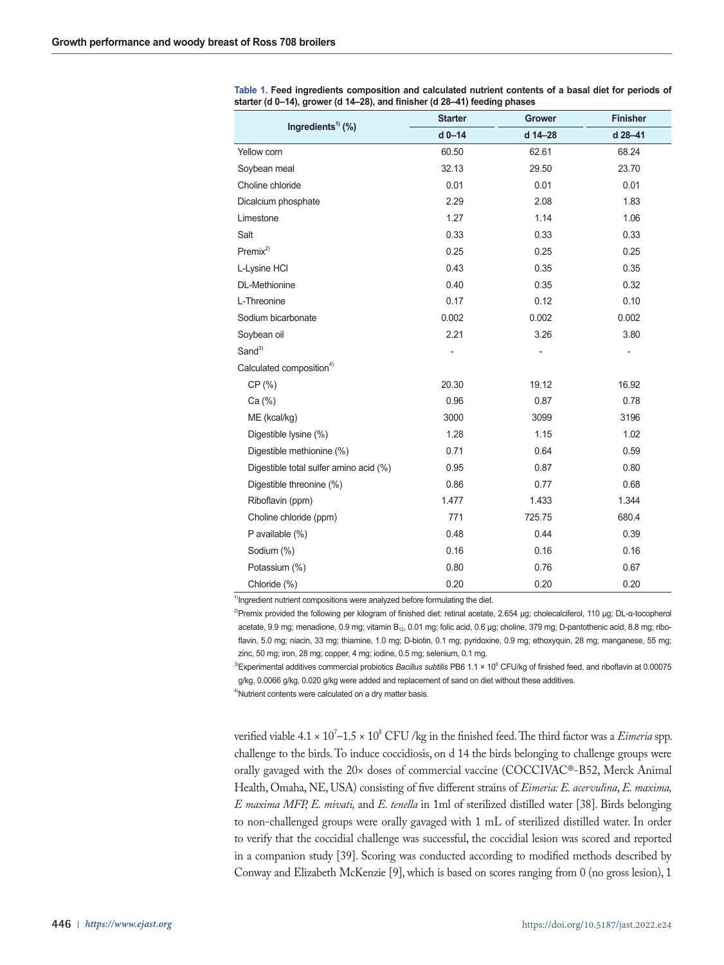| Ingredients <sup>1)</sup> (%)          | <b>Starter</b> | <b>Grower</b> | <b>Finisher</b> |
|----------------------------------------|----------------|---------------|-----------------|
|                                        | $d$ 0-14       | d 14-28       | d 28-41         |
| Yellow corn                            | 60.50          | 62.61         | 68.24           |
| Soybean meal                           | 32.13          | 29.50         | 23.70           |
| Choline chloride                       | 0.01           | 0.01          | 0.01            |
| Dicalcium phosphate                    | 2.29           | 2.08          | 1.83            |
| Limestone                              | 1.27           | 1.14          | 1.06            |
| Salt                                   | 0.33           | 0.33          | 0.33            |
| $Premix^{2)}$                          | 0.25           | 0.25          | 0.25            |
| L-Lysine HCI                           | 0.43           | 0.35          | 0.35            |
| DL-Methionine                          | 0.40           | 0.35          | 0.32            |
| L-Threonine                            | 0.17           | 0.12          | 0.10            |
| Sodium bicarbonate                     | 0.002          | 0.002         | 0.002           |
| Soybean oil                            | 2.21           | 3.26          | 3.80            |
| Sand <sup>3)</sup>                     |                |               |                 |
| Calculated composition <sup>4)</sup>   |                |               |                 |
| CP (%)                                 | 20.30          | 19.12         | 16.92           |
| Ca (%)                                 | 0.96           | 0.87          | 0.78            |
| ME (kcal/kg)                           | 3000           | 3099          | 3196            |
| Digestible lysine (%)                  | 1.28           | 1.15          | 1.02            |
| Digestible methionine (%)              | 0.71           | 0.64          | 0.59            |
| Digestible total sulfer amino acid (%) | 0.95           | 0.87          | 0.80            |
| Digestible threonine (%)               | 0.86           | 0.77          | 0.68            |
| Riboflavin (ppm)                       | 1.477          | 1.433         | 1.344           |
| Choline chloride (ppm)                 | 771            | 725.75        | 680.4           |
| P available (%)                        | 0.48           | 0.44          | 0.39            |
| Sodium (%)                             | 0.16           | 0.16          | 0.16            |
| Potassium (%)                          | 0.80           | 0.76          | 0.67            |
| Chloride (%)                           | 0.20           | 0.20          | 0.20            |

**Table 1. Feed ingredients composition and calculated nutrient contents of a basal diet for periods of starter (d 0–14), grower (d 14–28), and finisher (d 28–41) feeding phases**

<sup>1)</sup>Ingredient nutrient compositions were analyzed before formulating the diet.

<sup>2)</sup>Premix provided the following per kilogram of finished diet: retinal acetate, 2.654 μg; cholecalciferol, 110 μg; DL-α-tocopherol acetate, 9.9 mg; menadione, 0.9 mg; vitamin B<sub>12</sub>, 0.01 mg; folic acid, 0.6 μg; choline, 379 mg; D-pantothenic acid, 8.8 mg; riboflavin, 5.0 mg; niacin, 33 mg; thiamine, 1.0 mg; D-biotin, 0.1 mg; pyridoxine, 0.9 mg; ethoxyquin, 28 mg; manganese, 55 mg; zinc, 50 mg; iron, 28 mg; copper, 4 mg; iodine, 0.5 mg; selenium, 0.1 mg.

<sup>3)</sup>Experimental additives commercial probiotics *Bacillus subtilis* PB6 1.1 × 10<sup>8</sup> CFU/kg of finished feed, and riboflavin at 0.00075 g/kg, 0.0066 g/kg, 0.020 g/kg were added and replacement of sand on diet without these additives.

<sup>4)</sup>Nutrient contents were calculated on a dry matter basis.

verified viable 4.1 × 10<sup>/</sup>–1.5 × 10<sup>8</sup> CFU /kg in the finished feed. The third factor was a *Eimeria* spp. challenge to the birds. To induce coccidiosis, on d 14 the birds belonging to challenge groups were orally gavaged with the 20× doses of commercial vaccine (COCCIVAC®-B52, Merck Animal Health, Omaha, NE, USA) consisting of five different strains of *Eimeria: E. acervulina*, *E. maxima, E maxima MFP, E. mivati,* and *E. tenella* in 1ml of sterilized distilled water [38]. Birds belonging to non-challenged groups were orally gavaged with 1 mL of sterilized distilled water. In order to verify that the coccidial challenge was successful, the coccidial lesion was scored and reported in a companion study [39]. Scoring was conducted according to modified methods described by Conway and Elizabeth McKenzie [9], which is based on scores ranging from 0 (no gross lesion), 1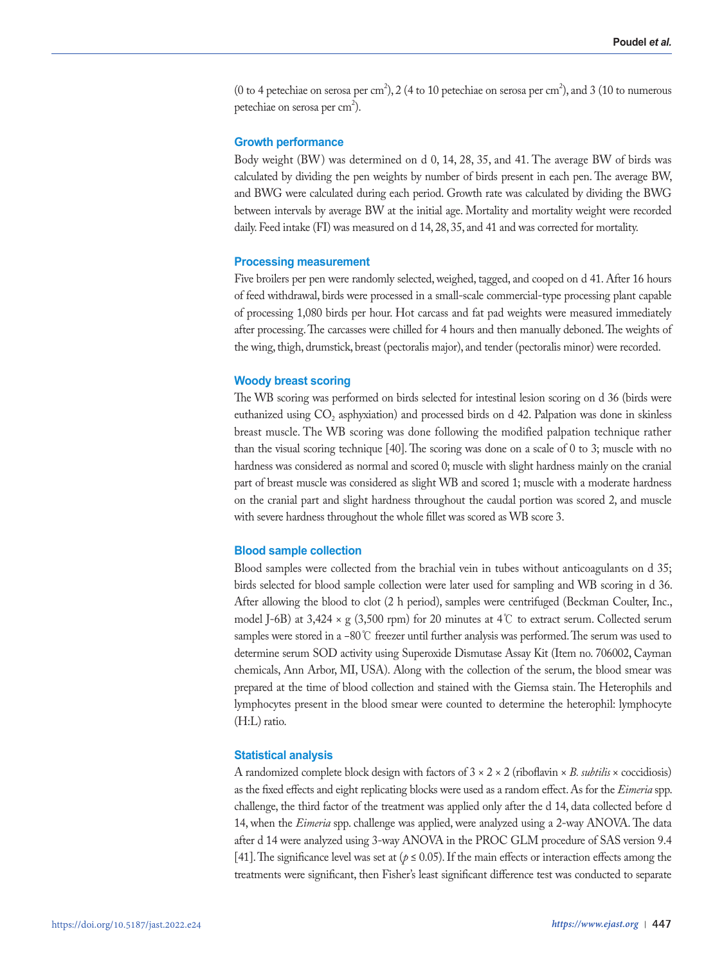(0 to 4 petechiae on serosa per cm<sup>2</sup>), 2 (4 to 10 petechiae on serosa per cm<sup>2</sup>), and 3 (10 to numerous petechiae on serosa per cm<sup>2</sup>).

# **Growth performance**

Body weight (BW) was determined on d 0, 14, 28, 35, and 41. The average BW of birds was calculated by dividing the pen weights by number of birds present in each pen. The average BW, and BWG were calculated during each period. Growth rate was calculated by dividing the BWG between intervals by average BW at the initial age. Mortality and mortality weight were recorded daily. Feed intake (FI) was measured on d 14, 28, 35, and 41 and was corrected for mortality.

### **Processing measurement**

Five broilers per pen were randomly selected, weighed, tagged, and cooped on d 41. After 16 hours of feed withdrawal, birds were processed in a small-scale commercial-type processing plant capable of processing 1,080 birds per hour. Hot carcass and fat pad weights were measured immediately after processing. The carcasses were chilled for 4 hours and then manually deboned. The weights of the wing, thigh, drumstick, breast (pectoralis major), and tender (pectoralis minor) were recorded.

# **Woody breast scoring**

The WB scoring was performed on birds selected for intestinal lesion scoring on d 36 (birds were euthanized using  $CO<sub>2</sub>$  asphyxiation) and processed birds on d 42. Palpation was done in skinless breast muscle. The WB scoring was done following the modified palpation technique rather than the visual scoring technique [40]. The scoring was done on a scale of 0 to 3; muscle with no hardness was considered as normal and scored 0; muscle with slight hardness mainly on the cranial part of breast muscle was considered as slight WB and scored 1; muscle with a moderate hardness on the cranial part and slight hardness throughout the caudal portion was scored 2, and muscle with severe hardness throughout the whole fillet was scored as WB score 3.

## **Blood sample collection**

Blood samples were collected from the brachial vein in tubes without anticoagulants on d 35; birds selected for blood sample collection were later used for sampling and WB scoring in d 36. After allowing the blood to clot (2 h period), samples were centrifuged (Beckman Coulter, Inc., model J-6B) at 3,424 × g (3,500 rpm) for 20 minutes at 4℃ to extract serum. Collected serum samples were stored in a −80℃ freezer until further analysis was performed. The serum was used to determine serum SOD activity using Superoxide Dismutase Assay Kit (Item no. 706002, Cayman chemicals, Ann Arbor, MI, USA). Along with the collection of the serum, the blood smear was prepared at the time of blood collection and stained with the Giemsa stain. The Heterophils and lymphocytes present in the blood smear were counted to determine the heterophil: lymphocyte (H:L) ratio.

## **Statistical analysis**

A randomized complete block design with factors of 3 × 2 × 2 (riboflavin × *B. subtilis* × coccidiosis) as the fixed effects and eight replicating blocks were used as a random effect. As for the *Eimeria* spp. challenge, the third factor of the treatment was applied only after the d 14, data collected before d 14, when the *Eimeria* spp. challenge was applied, were analyzed using a 2-way ANOVA. The data after d 14 were analyzed using 3-way ANOVA in the PROC GLM procedure of SAS version 9.4 [41]. The significance level was set at ( $p \le 0.05$ ). If the main effects or interaction effects among the treatments were significant, then Fisher's least significant difference test was conducted to separate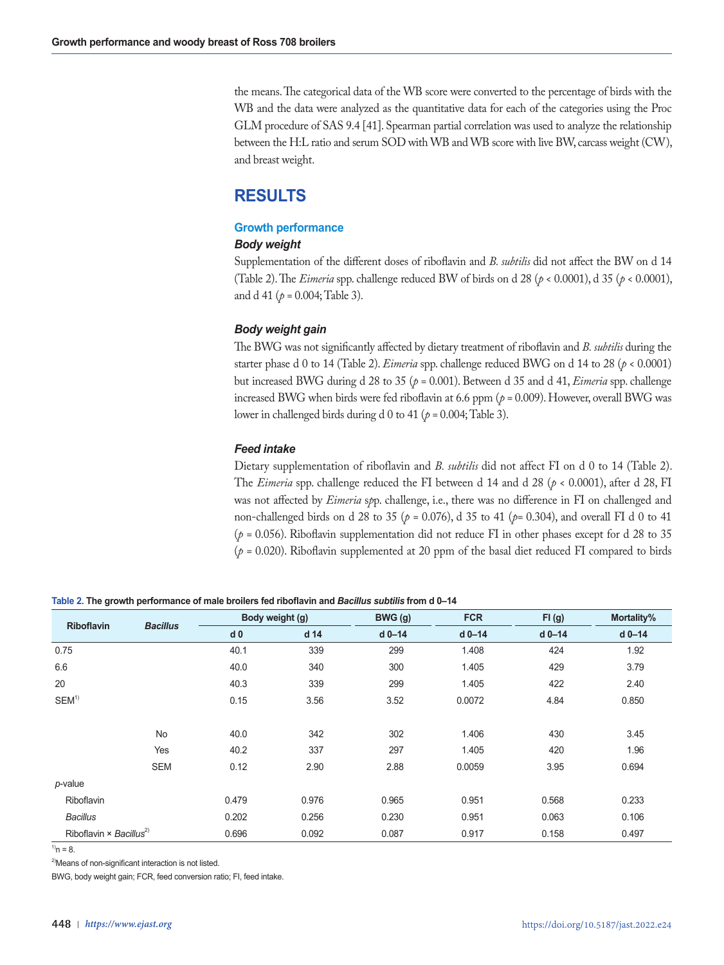the means. The categorical data of the WB score were converted to the percentage of birds with the WB and the data were analyzed as the quantitative data for each of the categories using the Proc GLM procedure of SAS 9.4 [41]. Spearman partial correlation was used to analyze the relationship between the H:L ratio and serum SOD with WB and WB score with live BW, carcass weight (CW), and breast weight.

# **RESULTS**

# **Growth performance**

# *Body weight*

Supplementation of the different doses of riboflavin and *B. subtilis* did not affect the BW on d 14 (Table 2). The *Eimeria* spp. challenge reduced BW of birds on d 28 ( $p < 0.0001$ ), d 35 ( $p < 0.0001$ ), and d 41 (*p =* 0.004; Table 3).

# *Body weight gain*

The BWG was not significantly affected by dietary treatment of riboflavin and *B. subtilis* during the starter phase d 0 to 14 (Table 2). *Eimeria* spp. challenge reduced BWG on d 14 to 28 (*p <* 0.0001) but increased BWG during d 28 to 35 (*p =* 0.001). Between d 35 and d 41, *Eimeria* spp. challenge increased BWG when birds were fed riboflavin at 6.6 ppm (*p =* 0.009). However, overall BWG was lower in challenged birds during d 0 to 41 (*p =* 0.004; Table 3).

# *Feed intake*

Dietary supplementation of riboflavin and *B. subtilis* did not affect FI on d 0 to 14 (Table 2). The *Eimeria* spp. challenge reduced the FI between d 14 and d 28 (*p <* 0.0001), after d 28, FI was not affected by *Eimeria* s*p*p. challenge, i.e., there was no difference in FI on challenged and non-challenged birds on d 28 to 35 (*p =* 0.076), d 35 to 41 (*p=* 0.304), and overall FI d 0 to 41 (*p =* 0.056). Riboflavin supplementation did not reduce FI in other phases except for d 28 to 35 (*p =* 0.020). Riboflavin supplemented at 20 ppm of the basal diet reduced FI compared to birds

| <b>Riboflavin</b>                          | <b>Bacillus</b> |                | Body weight (g) | BWG (g)  | <b>FCR</b> | FI(g)    | Mortality% |
|--------------------------------------------|-----------------|----------------|-----------------|----------|------------|----------|------------|
|                                            |                 | d <sub>0</sub> | d 14            | $d$ 0-14 | $d$ 0-14   | $d$ 0-14 | $d$ 0-14   |
| 0.75                                       |                 | 40.1           | 339             | 299      | 1.408      | 424      | 1.92       |
| 6.6                                        |                 | 40.0           | 340             | 300      | 1.405      | 429      | 3.79       |
| 20                                         |                 | 40.3           | 339             | 299      | 1.405      | 422      | 2.40       |
| SEM <sup>1</sup>                           |                 | 0.15           | 3.56            | 3.52     | 0.0072     | 4.84     | 0.850      |
|                                            |                 |                |                 |          |            |          |            |
|                                            | No              | 40.0           | 342             | 302      | 1.406      | 430      | 3.45       |
|                                            | Yes             | 40.2           | 337             | 297      | 1.405      | 420      | 1.96       |
|                                            | <b>SEM</b>      | 0.12           | 2.90            | 2.88     | 0.0059     | 3.95     | 0.694      |
| p-value                                    |                 |                |                 |          |            |          |            |
| Riboflavin                                 |                 | 0.479          | 0.976           | 0.965    | 0.951      | 0.568    | 0.233      |
| <b>Bacillus</b>                            |                 | 0.202          | 0.256           | 0.230    | 0.951      | 0.063    | 0.106      |
| Riboflavin $\times$ Bacillus <sup>2)</sup> |                 | 0.696          | 0.092           | 0.087    | 0.917      | 0.158    | 0.497      |

**Table 2. The growth performance of male broilers fed riboflavin and** *Bacillus subtilis* **from d 0–14**

 $^{1)}n = 8$ 

<sup>2)</sup>Means of non-significant interaction is not listed.

BWG, body weight gain; FCR, feed conversion ratio; FI, feed intake.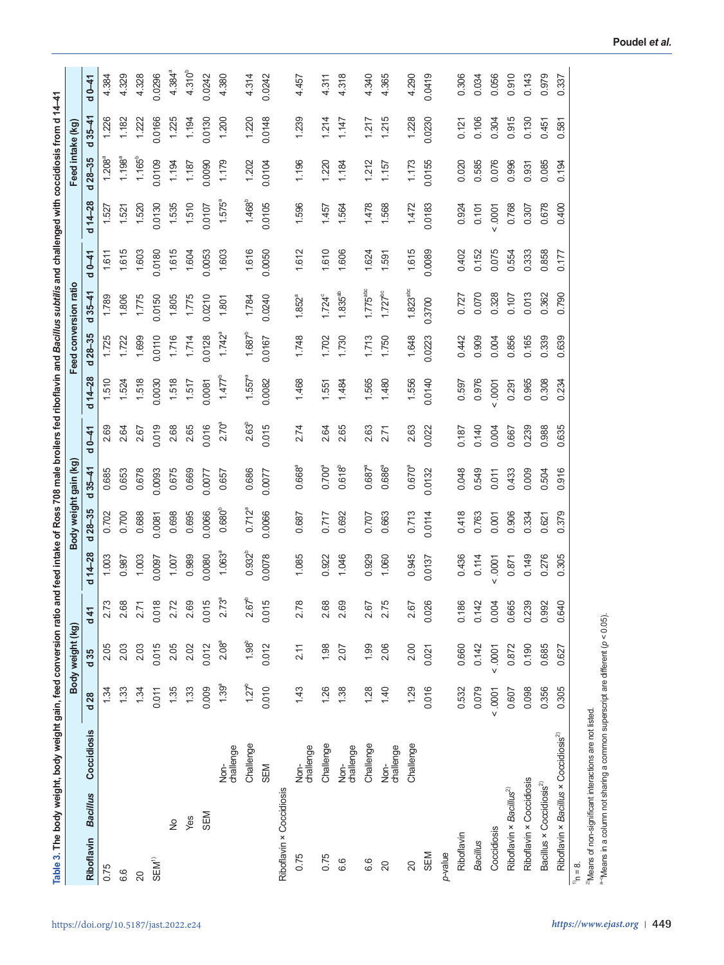| Table 3. The body weight, body weight gain, feed conversion ratio and feed intake of Ross 708 male broilers fed riboflavin and <i>Bacillus subtilis</i> and challenged with coccidiosis from d 14–41 |                   |                 |                   |            |                    |                       |                    |                   |           |                |                        |         |              |                  |                |             |
|------------------------------------------------------------------------------------------------------------------------------------------------------------------------------------------------------|-------------------|-----------------|-------------------|------------|--------------------|-----------------------|--------------------|-------------------|-----------|----------------|------------------------|---------|--------------|------------------|----------------|-------------|
|                                                                                                                                                                                                      |                   |                 | Body weight (kg)  |            |                    | Body weight gain (kg) |                    |                   |           |                | Feed conversion ratio  |         |              | Feed intake (kg) |                |             |
| <b>Bacillus</b><br>Riboflavin                                                                                                                                                                        | Coccidiosis       | d <sub>28</sub> | d <sub>35</sub>   | d41        | $d$ 14-28          | $28 - 35$<br>ಕ        | $35 - 41$<br>ರ     | $0 - 41$<br>ರ     | $d + 28$  | $28 - 35$<br>ರ | $35 - 41$<br>ರ         | $d0-41$ | $d$ 14 $-28$ | $d28 - 35$       | $35 - 41$<br>ರ | $d0-41$     |
| 0.75                                                                                                                                                                                                 |                   | 1.34            | 2.05              | 2.73       | 1.003              | 0.702                 | 0.685              | 2.69              | 1.510     | 1.725          | 1.789                  | 1.611   | 1.52         | $1.208^a$        | 1.226          | 4.384       |
| 6.6                                                                                                                                                                                                  |                   | 1.33            | 2.03              | 2.68       | 0.987              | 0.700                 | 0.653              | 2.64              | 1.524     | 1.722          | 1.806                  | 1.615   | 1.521        | $1.198^{a}$      | 1.182          | 4.329       |
| 20                                                                                                                                                                                                   |                   | 1.34            | 2.03              | 2.71       | 1.003              | 0.688                 | 0.678              | 2.67              | 1.518     | 1.699          | 1.775                  | 1.603   | 1.520        | $1.165^{b}$      | 1.222          | 4.328       |
| SEM <sup>1)</sup>                                                                                                                                                                                    |                   | 0.011           | 0.015             | 0.018      | 0.0097             | 0.0081                | 0.0093             | 0.019             | 0.0030    | 0.0110         | 0.0150                 | 0.0180  | 0.0130       | 0.0109           | 0.0166         | 0.0296      |
| $\tilde{z}$                                                                                                                                                                                          |                   | 1.35            | 2.05              | 2.72       | 1.007              | 0.698                 | 0.675              | 2.68              | 1.518     | 1.716          | 1.805                  | 1.615   | 1.535        | 1.194            | 1.225          | $4.384^{a}$ |
| Yes                                                                                                                                                                                                  |                   | 1.33            | 2.02              | 2.69       | 0.989              | 0.695                 | 0.669              | 2.65              | 1.517     | 1.714          | 1.775                  | 1.604   | 1.510        | 1.187            | 1.194          | $4.310^{b}$ |
| SEM                                                                                                                                                                                                  |                   | 0.009           | 0.012             | 0.015      | 0.0080             | 0.0066                | 0.0077             | 0.016             | 0.0081    | 0.0128         | 0.0210                 | 0.0053  | 0.0107       | 0.0090           | 0.0130         | 0.0242      |
|                                                                                                                                                                                                      | challenge<br>Nor- | $1.39^{a}$      | 2.08 <sup>a</sup> | $2.73^{a}$ | 1.063 <sup>a</sup> | $0.680^{b}$           | 0.657              | 2.70 <sup>a</sup> | $1.477^b$ | $1.742^a$      | 1.801                  | 1.603   | $1.575^a$    | 1.179            | 1.200          | 4.380       |
|                                                                                                                                                                                                      | Challenge         | $1.27^{b}$      | $1.98^{b}$        | $2.67^{b}$ | $0.932^{b}$        | $0.712^{a}$           | 0.686              | 2.63 <sup>b</sup> | $1.557^a$ | $1.687^{b}$    | 1.784                  | 1.616   | $1.468^{b}$  | 1.202            | 1.220          | 4.314       |
|                                                                                                                                                                                                      | SEM               | 0.010           | 0.012             | 015<br>Õ   | 0.0078             | 0.0066                | 0.0077             | 0.015             | 0.0082    | 0.0167         | 0.0240                 | 0.0050  | 0.0105       | 0.0104           | 0.0148         | 0.0242      |
| Riboflavin × Coccidiosis                                                                                                                                                                             |                   |                 |                   |            |                    |                       |                    |                   |           |                |                        |         |              |                  |                |             |
| 0.75                                                                                                                                                                                                 | challenge<br>Non- | 1.43            | 2.11              | 78<br>N    | 1.085              | 0.687                 | 0.668 <sup>a</sup> | 2.74              | 1.468     | 1.748          | $1.852^{a}$            | 1.612   | 1.596        | 1.196            | 1.239          | 4.457       |
| 0.75                                                                                                                                                                                                 | Challenge         | 1.26            | 1.98              | 2.68       | 0.922              | 0.717                 | $0.700^{a}$        | 2.64              | 1.551     | 1.702          | $1.724^{\circ}$        | 1.610   | 1.457        | 1.220            | 1.214          | 4.311       |
| 6.6                                                                                                                                                                                                  | challenge<br>Non- | 1.38            | 2.07              | 69         | 1.046              | 0.692                 | $0.618^{b}$        | 2.65              | 1.484     | 1.730          | $1.835^{ab}$           | 1.606   | 1.564        | 1,184            | 1117           | 4.318       |
| 6.6                                                                                                                                                                                                  | Challenge         | 1.28            | 1.99              | 2.67       | 0.929              | 0.707                 | $0.687^{a}$        | 2.63              | 1.565     | 1.713          | $1.775$ <sup>abc</sup> | 1.624   | 1.478        | 1.212            | 1.217          | 4.340       |
| 20                                                                                                                                                                                                   | challenge<br>Non- | 1.40            | 2.06              | 2.75       | 1.060              | 0.663                 | 0.686ª             | 2.71              | 1.480     | 1.750          | $1.727^{bc}$           | 1.591   | 1.568        | 1.157            | 1.215          | 4.365       |
| $\overline{20}$                                                                                                                                                                                      | Challenge         | 1.29            | 2.00              | 2.67       | 0.945              | 0.713                 | $0.670^{a}$        | 2.63              | 1.556     | 1.648          | $1.823$ <sup>abc</sup> | 1.615   | 1.472        | 1.173            | 1.228          | 4.290       |
| SEM                                                                                                                                                                                                  |                   | 0.016           | 0.021             | 0.026      | 0.0137             | 0.0114                | 0.0132             | 0.022             | 0.0140    | 0.0223         | 0.3700                 | 0.0089  | 0.0183       | 0.0155           | 0.0230         | 0.0419      |
| p-value                                                                                                                                                                                              |                   |                 |                   |            |                    |                       |                    |                   |           |                |                        |         |              |                  |                |             |
| Riboflavin                                                                                                                                                                                           |                   | 0.532           | 0.660             | 0.186      | 0.436              | 0.418                 | 0.048              | 0.187             | 0.597     | 0.442          | 0.727                  | 0.402   | 0.924        | 0.020            | 0.121          | 0.306       |
| <b>Bacillus</b>                                                                                                                                                                                      |                   | 0.079           | 0.142             | 0.142      | 0.114              | 0.763                 | 0.549              | 0.140             | 0.976     | 0.909          | 0.070                  | 0.152   | 0.101        | 0.585            | 0.106          | 0.034       |
| Coccidiosis                                                                                                                                                                                          |                   | 0001            | 0001              | 0.004      | .0001              | 0.001                 | 0.011              | 0.004             | .0001     | 0.004          | 0.328                  | 0.075   | .0001        | 0.076            | 0.304          | 0.056       |
| Riboflavin × Bacillus <sup>2)</sup>                                                                                                                                                                  |                   | 0.607           | 0.872             | 0.665      | 0.871              | 0.906                 | 0.433              | 0.667             | 0.291     | 0.856          | 0.107                  | 0.554   | 0.768        | 0.996            | 0.915          | 0.910       |
| Riboflavin × Coccidiosis                                                                                                                                                                             |                   | 0.098           | 0.190             | 0.239      | 0.149              | 0.334                 | 0.009              | 0.239             | 0.965     | 0.165          | 0.013                  | 0.333   | 0.307        | 0.931            | 0.130          | 0.143       |
| Bacillus × Coccidiosis <sup>2)</sup>                                                                                                                                                                 |                   | 0.356           | 0.685             | 0.992      | 0.276              | 0.621                 | 0.504              | 0.988             | 0.308     | 0.339          | 0.362                  | 0.858   | 0.678        | 0.085            | 0.451          | 0.979       |
| Riboflavin × Bacillus × Coccidiosis <sup>2)</sup>                                                                                                                                                    |                   | 0.305           | 0.627             | 0.640      | 0.305              | 0.379                 | 0.916              | 0.635             | 0.234     | 0.639          | 0.790                  | 0.177   | 0.400        | 0.194            | 0.581          | 0.337       |
| $\frac{8}{1}$<br>۴,                                                                                                                                                                                  |                   |                 |                   |            |                    |                       |                    |                   |           |                |                        |         |              |                  |                |             |

ື n = ε.<br><sup>2</sup>Means of non-significant interactions are not listed.<br><sup>a⇔</sup>Means in a column not sharing a common superscript are different (ρ < 0.05). 2)Means of non-significant interactions are not listed. a–cMeans in a column not sharing a common superscript are different (*p* < 0.05).

 $\mathbf{r}$ 

 $\mathbf{r}$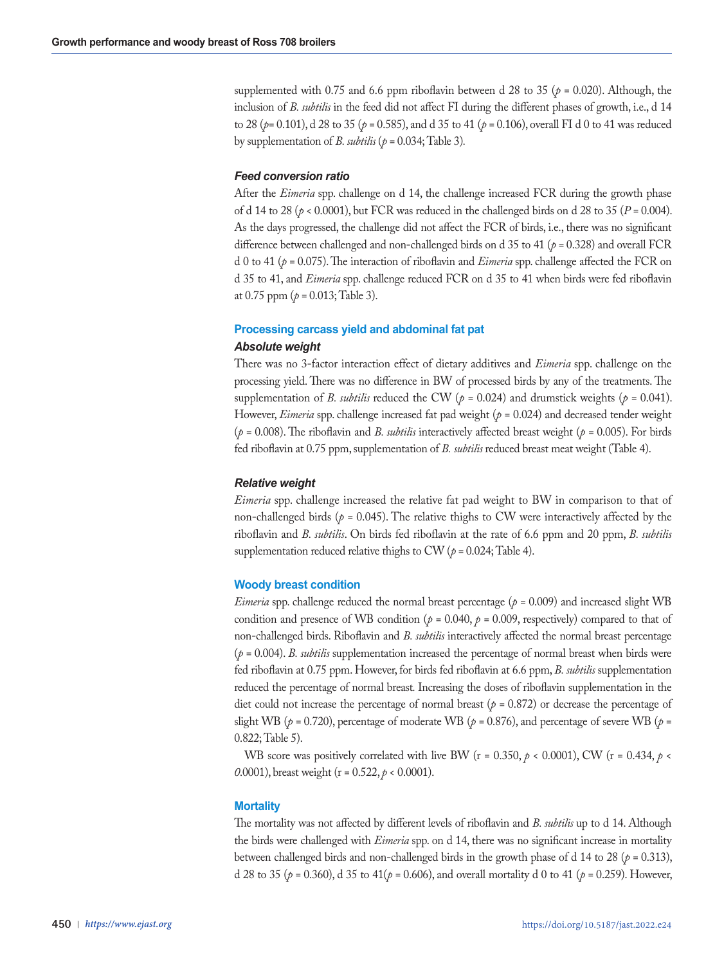supplemented with 0.75 and 6.6 ppm riboflavin between d 28 to 35 ( $p = 0.020$ ). Although, the inclusion of *B. subtilis* in the feed did not affect FI during the different phases of growth, i.e., d 14 to 28 (*p=* 0.101), d 28 to 35 (*p =* 0.585), and d 35 to 41 (*p =* 0.106), overall FI d 0 to 41 was reduced by supplementation of *B. subtilis* ( $p = 0.034$ ; Table 3).

# *Feed conversion ratio*

After the *Eimeria* spp. challenge on d 14, the challenge increased FCR during the growth phase of d 14 to 28 (*p <* 0.0001), but FCR was reduced in the challenged birds on d 28 to 35 (*P =* 0.004). As the days progressed, the challenge did not affect the FCR of birds, i.e., there was no significant difference between challenged and non-challenged birds on d 35 to 41 (*p =* 0.328) and overall FCR d 0 to 41 (*p =* 0.075). The interaction of riboflavin and *Eimeria* spp. challenge affected the FCR on d 35 to 41, and *Eimeria* spp. challenge reduced FCR on d 35 to 41 when birds were fed riboflavin at 0.75 ppm (*p =* 0.013; Table 3).

# **Processing carcass yield and abdominal fat pat**

## *Absolute weight*

There was no 3-factor interaction effect of dietary additives and *Eimeria* spp. challenge on the processing yield. There was no difference in BW of processed birds by any of the treatments. The supplementation of *B. subtilis* reduced the CW ( $p = 0.024$ ) and drumstick weights ( $p = 0.041$ ). However, *Eimeria* spp. challenge increased fat pad weight (*p* = 0.024) and decreased tender weight (*p =* 0.008). The riboflavin and *B. subtilis* interactively affected breast weight (*p =* 0.005). For birds fed riboflavin at 0.75 ppm, supplementation of *B. subtilis* reduced breast meat weight (Table 4).

# *Relative weight*

*Eimeria* spp. challenge increased the relative fat pad weight to BW in comparison to that of non-challenged birds ( $p = 0.045$ ). The relative thighs to CW were interactively affected by the riboflavin and *B. subtilis*. On birds fed riboflavin at the rate of 6.6 ppm and 20 ppm, *B. subtilis*  supplementation reduced relative thighs to CW  $(p = 0.024;$  Table 4).

# **Woody breast condition**

*Eimeria* spp. challenge reduced the normal breast percentage (*p =* 0.009) and increased slight WB condition and presence of WB condition ( $p = 0.040$ ,  $p = 0.009$ , respectively) compared to that of non-challenged birds. Riboflavin and *B. subtilis* interactively affected the normal breast percentage  $(p = 0.004)$ . *B. subtilis* supplementation increased the percentage of normal breast when birds were fed riboflavin at 0.75 ppm. However, for birds fed riboflavin at 6.6 ppm, *B. subtilis* supplementation reduced the percentage of normal breast*.* Increasing the doses of riboflavin supplementation in the diet could not increase the percentage of normal breast (*p =* 0.872) or decrease the percentage of slight WB ( $p = 0.720$ ), percentage of moderate WB ( $p = 0.876$ ), and percentage of severe WB ( $p =$ 0.822; Table 5).

WB score was positively correlated with live BW ( $r = 0.350$ ,  $\rho < 0.0001$ ), CW ( $r = 0.434$ ,  $\rho <$ *0*.0001), breast weight (r = 0.522, *p* < 0.0001).

# **Mortality**

The mortality was not affected by different levels of riboflavin and *B. subtilis* up to d 14. Although the birds were challenged with *Eimeria* spp. on d 14, there was no significant increase in mortality between challenged birds and non-challenged birds in the growth phase of d 14 to 28 (*p =* 0.313), d 28 to 35 (*p =* 0.360), d 35 to 41(*p =* 0.606), and overall mortality d 0 to 41 (*p =* 0.259). However,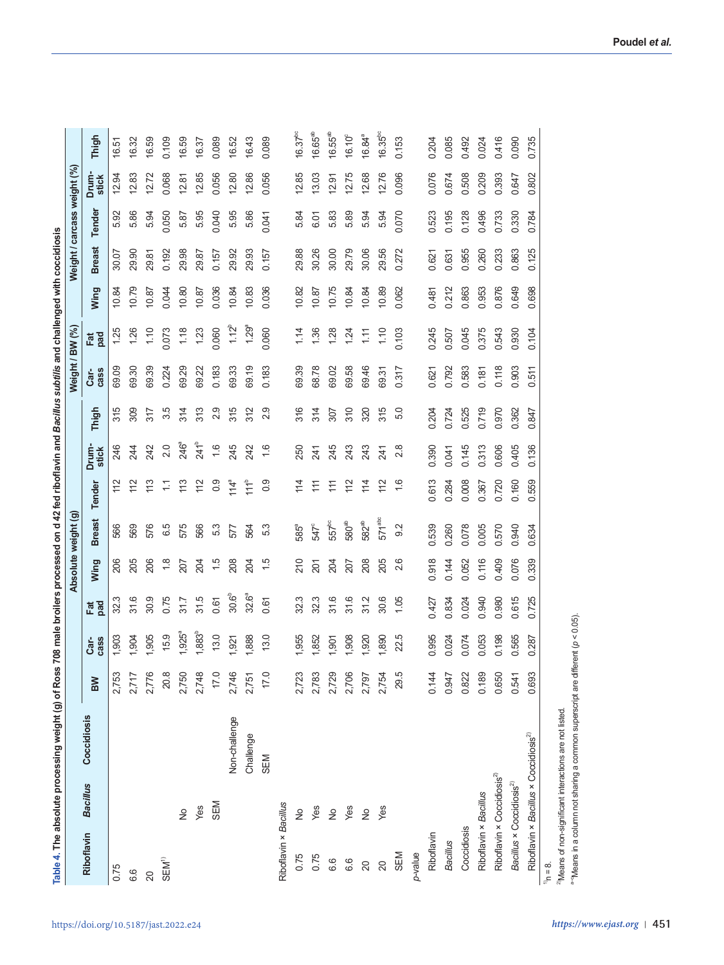Table 4. The absolute processing weight (g) of Ross 708 male broilers processed on d 42 fed riboflavin and Bacillus subflis and challenged with coccidiosis **Table 4. The absolute processing weight (g) of Ross 708 male broilers processed on d 42 fed riboflavin and** *Bacillus subtilis* **and challenged with coccidiosis** 

|                                      |                                                   |               |           |                           |            |                  | Absolute weight (g) |                           |                  |       | Weight / BW (%) |            |       | Weight / carcass weight (%) |        |                |                 |
|--------------------------------------|---------------------------------------------------|---------------|-----------|---------------------------|------------|------------------|---------------------|---------------------------|------------------|-------|-----------------|------------|-------|-----------------------------|--------|----------------|-----------------|
| Riboflavin                           | <b>Bacillus</b>                                   | Coccidiosis   | <b>MB</b> | cass<br>Car-              | Fat<br>pad | Wing             | <b>Breast</b>       | Tender                    | Drum-<br>stick   | Thigh | cass<br>Car-    | Fat<br>pad | Wing  | <b>Breast</b>               | Tender | Drum-<br>stick | Thigh           |
| 0.75                                 |                                                   |               | 2,753     | 1,903                     | 32.3       | 206              | 566                 | 112                       | 246              | 315   | 69.09           | 1.25       | 10.84 | 30.07                       | 5.92   | 12.94          | 16.51           |
| 6.6                                  |                                                   |               | 2,717     | .904                      | 31.6       | 205              | 569                 | 112                       | 244              | 309   | 69.30           | 1.26       | 10.79 | 29.90                       | 5.86   | 12.83          | 16.32           |
| $\overline{20}$                      |                                                   |               | 2,776     | ,905                      | 30.9       | 206              | 576                 | 113                       | 242              | 317   | 69.39           | 1.10       | 10.87 | 29.81                       | 5.94   | 12.72          | 6.59            |
| SEM <sup>1)</sup>                    |                                                   |               | 20.8      | 15.9                      | 0.75       | $\frac{8}{1}$    | 6.5                 | $\ddot{ }$                | 2.0              | 3.5   | 0.224           | 0.073      | 0.044 | 0.192                       | 0.050  | 0.068          | 0.109           |
|                                      | $\frac{1}{2}$                                     |               | 2,750     | $1,925^a$                 | 31.7       | 207              | 575                 | 113                       | 246ª             | 314   | 69.29           | 1.18       | 10.80 | 29.98                       | 5.87   | 12.81          | 16.59           |
|                                      | Yes                                               |               | 2,748     | <b>1,883</b> <sup>b</sup> | 31.5       | 204              | 566                 | 112                       | 241 <sup>b</sup> | 313   | 69.22           | 1.23       | 10.87 | 29.87                       | 5.95   | 12.85          | 16.37           |
|                                      | SEM                                               |               | 17.0      | 13.0                      | 0.61       | $\frac{5}{1}$    | 5.3                 | 0.9                       | $\frac{6}{1}$    | 2.9   | 0.183           | 0.060      | 0.036 | 0.157                       | 0.040  | 0.056          | 0.089           |
|                                      |                                                   | Non-challenge | 2,746     | .921                      | 30.6°      | 208              | 577                 | $114^a$                   | 245              | 315   | 69.33           | $1.12^{b}$ | 10.84 | 29.92                       | 5.95   | 12.80          | 16.52           |
|                                      |                                                   | Challenge     | 2,751     | 1,888                     | 32.6ª      | 204              | 564                 | 111 <sub>p</sub>          | 242              | 312   | 69.19           | $1.29^a$   | 10.83 | 29.93                       | 5.86   | 12.86          | 16.43           |
|                                      |                                                   | SEM           | 17.0      | 13.0                      | 0.61       | 1.5              | 5.3                 | 0.9                       | 1,6              | 2.9   | 0.183           | 0.060      | 0.036 | 0.157                       | 0.041  | 0.056          | 0.089           |
| Riboflavin × Bacillus                |                                                   |               |           |                           |            |                  |                     |                           |                  |       |                 |            |       |                             |        |                |                 |
| 0.75                                 | $\frac{1}{2}$                                     |               | 2,723     | 1,955                     | 32.3       | 210              | $585^a$             | 114                       | 250              | 316   | 69.39           | 1.14       | 10.82 | 29.88                       | 5.84   | 12.85          | $16.37^{bc}$    |
| 0.75                                 | Yes                                               |               | 2,783     | 1,852                     | 32.3       | $\overline{201}$ | 547°                | $\widetilde{\mathcal{L}}$ | 241              | 314   | 68.78           | 1.36       | 10.87 | 30.26                       | 6.01   | 13.03          | 16.65a          |
| 6.6                                  | $\stackrel{\circ}{\simeq}$                        |               | 2,729     | 1,901                     | 31.6       | 204              | $557^{bc}$          | $\widetilde{\mathcal{L}}$ | 245              | 207   | 69.02           | 28         | 10.75 | 30.00                       | 5.83   | 12.97          | $16.55^{ab}$    |
| 6.6                                  | Yes                                               |               | 2,706     | 1,908                     | 31.6       | 207              | 580 <sup>ab</sup>   | 112                       | 243              | 310   | 69.58           | 1.24       | 10.84 | 29.79                       | 5.89   | 12.75          | $16.10^{\circ}$ |
| $\overline{20}$                      | $\frac{1}{2}$                                     |               | 2,797     | 1,920                     | 31.2       | 208              | 582 <sup>ab</sup>   | 114                       | 243              | 320   | 69.46           | 1.11       | 10.84 | 30.06                       | 5.94   | 12.68          | $16.84^a$       |
| 20                                   | Yes                                               |               | 2,754     | 1,890                     | 30.6       | 205              | 571 <sub>abc</sub>  | 112                       | 241              | 315   | 69.31           | 1.10       | 10.89 | 29.56                       | 5.94   | 12.76          | $16.35^{po}$    |
| SEM                                  |                                                   |               | 29.5      | 22.5                      | 1.05       | 2.6              | 9.2                 | $\frac{6}{1}$             | 2.8              | 5.0   | 0.317           | 0.103      | 0.062 | 0.272                       | 0.070  | 0.096          | 0.153           |
| p-value                              |                                                   |               |           |                           |            |                  |                     |                           |                  |       |                 |            |       |                             |        |                |                 |
| Riboflavin                           |                                                   |               | 0.144     | 0.995                     | 0.427      | 0.918            | 0.539               | 0.613                     | 0.390            | 0.204 | 0.621           | 0.245      | 0.481 | 0.621                       | 0.523  | 0.076          | 0.204           |
| Bacillus                             |                                                   |               | 0.947     | 0.024                     | 0.834      | 0.144            | 0.260               | 0.284                     | 0.041            | 0.724 | 0.792           | 0.507      | 0.212 | 0.631                       | 0.195  | 0.674          | 0.085           |
| Coccidiosis                          |                                                   |               | 0.822     | 0.074                     | 0.024      | 0.052            | 0.078               | 0.008                     | 0.145            | 0.525 | 0.583           | 0.045      | 0.863 | 0.955                       | 0.128  | 0.508          | 0.492           |
| Riboflavin × Bacillus                |                                                   |               | 0.189     | 0.053                     | 0.940      | 0.116            | 0.005               | 0.367                     | 0.313            | 0.719 | 0.181           | 0.375      | 0.953 | 0.260                       | 0.496  | 0.209          | 0.024           |
|                                      | Riboflavin × Coccidiosis <sup>2)</sup>            |               | 0.650     | 0.198                     | 0.980      | 0.409            | 0.570               | 0.720                     | 0.606            | 0.970 | 0.118           | 0.543      | 0.876 | 0.233                       | 0.733  | 0.393          | 0.416           |
| Bacillus × Coccidiosis <sup>2)</sup> |                                                   |               | 0.541     | 0.565                     | 0.615      | 0.076            | 0.940               | 0.160                     | 0.405            | 0.362 | 0.903           | 0.930      | 0.649 | 0.863                       | 0.330  | 0.647          | 0.090           |
|                                      | Riboflavin × Bacillus × Coccidiosis <sup>2)</sup> |               | 0.693     | 0.287                     | 0.725      | 0.339            | 0.634               | 0.559                     | 0.136            | 0.847 | 0.511           | 0.104      | 0.698 | 0.125                       | 0.784  | 0.802          | 0.735           |
| $n_{\rm h} = 8.$                     |                                                   |               |           |                           |            |                  |                     |                           |                  |       |                 |            |       |                             |        |                |                 |

<sup>2</sup>Means of non-significant interactions are not listed. 2)Means of non-significant interactions are not listed.

a-Means in a column not sharing a common superscript are different (p < 0.05). a–cMeans in a column not sharing a common superscript are different (*p* < 0.05).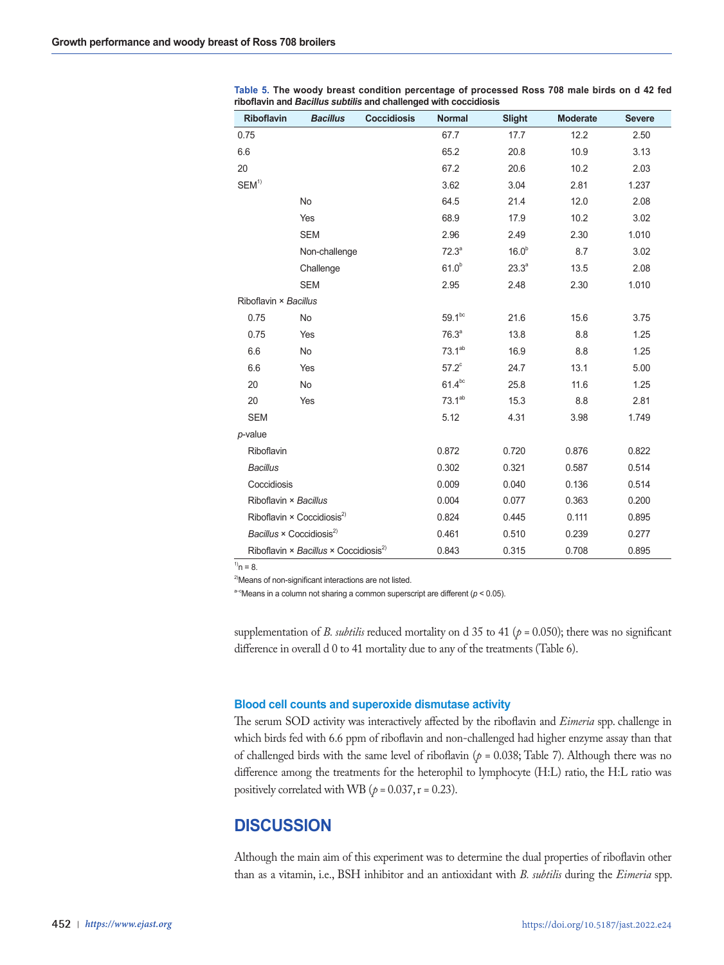| Riboflavin                                  | <b>Bacillus</b>                                   | <b>Coccidiosis</b> | <b>Normal</b>      | <b>Slight</b>     | <b>Moderate</b> | <b>Severe</b> |
|---------------------------------------------|---------------------------------------------------|--------------------|--------------------|-------------------|-----------------|---------------|
| 0.75                                        |                                                   |                    | 67.7               | 17.7              | 12.2            | 2.50          |
| 6.6                                         |                                                   |                    | 65.2               | 20.8              | 10.9            | 3.13          |
| 20                                          |                                                   |                    | 67.2               | 20.6              | 10.2            | 2.03          |
| SEM <sup>1</sup>                            |                                                   |                    | 3.62               | 3.04              | 2.81            | 1.237         |
|                                             | No                                                |                    | 64.5               | 21.4              | 12.0            | 2.08          |
|                                             | Yes                                               |                    | 68.9               | 17.9              | 10.2            | 3.02          |
|                                             | <b>SEM</b>                                        |                    | 2.96               | 2.49              | 2.30            | 1.010         |
|                                             | Non-challenge                                     |                    | 72.3 <sup>a</sup>  | 16.0 <sup>b</sup> | 8.7             | 3.02          |
|                                             | Challenge                                         |                    | 61.0 <sup>b</sup>  | 23.3 <sup>a</sup> | 13.5            | 2.08          |
|                                             | <b>SEM</b>                                        |                    | 2.95               | 2.48              | 2.30            | 1.010         |
| Riboflavin × Bacillus                       |                                                   |                    |                    |                   |                 |               |
| 0.75                                        | No                                                |                    | $59.1^{bc}$        | 21.6              | 15.6            | 3.75          |
| 0.75                                        | Yes                                               |                    | 76.3 <sup>a</sup>  | 13.8              | 8.8             | 1.25          |
| 6.6                                         | No                                                |                    | 73.1 <sup>ab</sup> | 16.9              | 8.8             | 1.25          |
| 6.6                                         | Yes                                               |                    | $57.2^{\circ}$     | 24.7              | 13.1            | 5.00          |
| 20                                          | No                                                |                    | $61.4^{bc}$        | 25.8              | 11.6            | 1.25          |
| 20                                          | Yes                                               |                    | $73.1^{ab}$        | 15.3              | 8.8             | 2.81          |
| <b>SEM</b>                                  |                                                   |                    | 5.12               | 4.31              | 3.98            | 1.749         |
| $p$ -value                                  |                                                   |                    |                    |                   |                 |               |
| Riboflavin                                  |                                                   |                    | 0.872              | 0.720             | 0.876           | 0.822         |
| <b>Bacillus</b>                             |                                                   |                    | 0.302              | 0.321             | 0.587           | 0.514         |
| Coccidiosis                                 |                                                   |                    | 0.009              | 0.040             | 0.136           | 0.514         |
| Riboflavin × Bacillus                       |                                                   |                    | 0.004              | 0.077             | 0.363           | 0.200         |
|                                             | Riboflavin $\times$ Coccidiosis <sup>2)</sup>     |                    | 0.824              | 0.445             | 0.111           | 0.895         |
| Bacillus $\times$ Coccidiosis <sup>2)</sup> |                                                   |                    | 0.461              | 0.510             | 0.239           | 0.277         |
|                                             | Riboflavin × Bacillus × Coccidiosis <sup>2)</sup> |                    | 0.843              | 0.315             | 0.708           | 0.895         |

**Table 5. The woody breast condition percentage of processed Ross 708 male birds on d 42 fed riboflavin and** *Bacillus subtilis* **and challenged with coccidiosis**

 $^{1)}n = 8.$ 

<sup>2)</sup>Means of non-significant interactions are not listed.

a<sup>-c</sup>Means in a column not sharing a common superscript are different ( $p < 0.05$ ).

supplementation of *B. subtilis* reduced mortality on d 35 to 41 (*p =* 0.050); there was no significant difference in overall d 0 to 41 mortality due to any of the treatments (Table 6).

# **Blood cell counts and superoxide dismutase activity**

The serum SOD activity was interactively affected by the riboflavin and *Eimeria* spp. challenge in which birds fed with 6.6 ppm of riboflavin and non-challenged had higher enzyme assay than that of challenged birds with the same level of riboflavin ( $p = 0.038$ ; Table 7). Although there was no difference among the treatments for the heterophil to lymphocyte (H:L) ratio, the H:L ratio was positively correlated with WB ( $p = 0.037$ ,  $r = 0.23$ ).

# **DISCUSSION**

Although the main aim of this experiment was to determine the dual properties of riboflavin other than as a vitamin, i.e., BSH inhibitor and an antioxidant with *B. subtilis* during the *Eimeria* spp.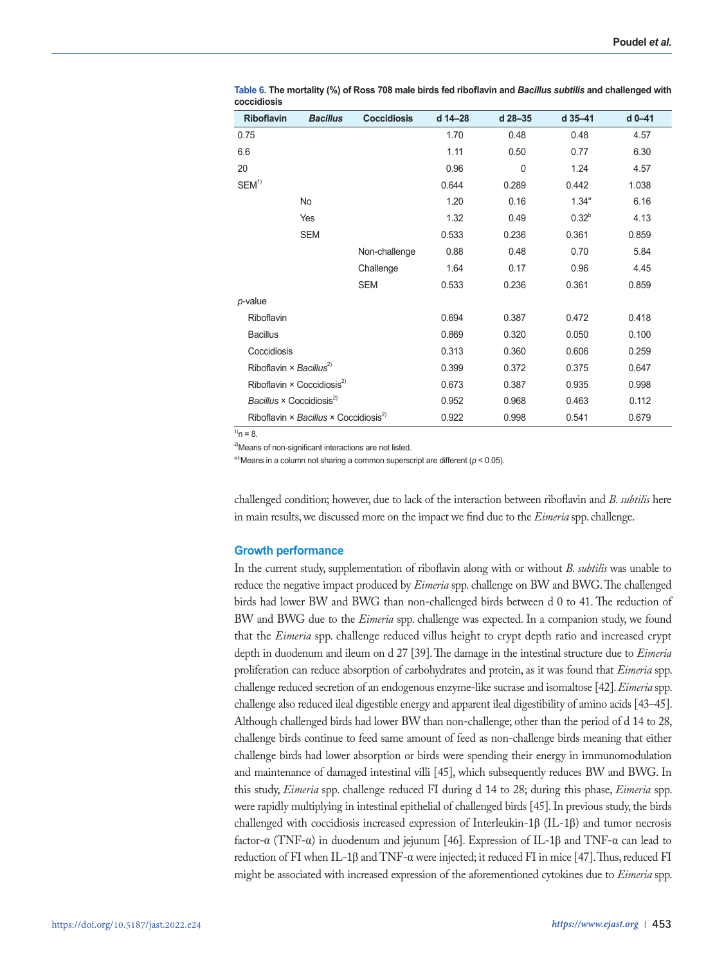| <b>Riboflavin</b>                           | <b>Bacillus</b>                                   | <b>Coccidiosis</b> | d 14-28 | d 28-35     | d 35-41    | $d$ 0-41 |
|---------------------------------------------|---------------------------------------------------|--------------------|---------|-------------|------------|----------|
| 0.75                                        |                                                   |                    | 1.70    | 0.48        | 0.48       | 4.57     |
| 6.6                                         |                                                   |                    | 1.11    | 0.50        | 0.77       | 6.30     |
| 20                                          |                                                   |                    | 0.96    | $\mathbf 0$ | 1.24       | 4.57     |
| $SEM^1$                                     |                                                   |                    | 0.644   | 0.289       | 0.442      | 1.038    |
|                                             | No                                                |                    | 1.20    | 0.16        | $1.34^{a}$ | 6.16     |
|                                             | Yes                                               |                    | 1.32    | 0.49        | $0.32^{b}$ | 4.13     |
|                                             | <b>SEM</b>                                        |                    | 0.533   | 0.236       | 0.361      | 0.859    |
|                                             |                                                   | Non-challenge      | 0.88    | 0.48        | 0.70       | 5.84     |
|                                             |                                                   | Challenge          | 1.64    | 0.17        | 0.96       | 4.45     |
|                                             |                                                   | <b>SEM</b>         | 0.533   | 0.236       | 0.361      | 0.859    |
| p-value                                     |                                                   |                    |         |             |            |          |
| Riboflavin                                  |                                                   |                    | 0.694   | 0.387       | 0.472      | 0.418    |
| <b>Bacillus</b>                             |                                                   |                    | 0.869   | 0.320       | 0.050      | 0.100    |
| Coccidiosis                                 |                                                   |                    | 0.313   | 0.360       | 0.606      | 0.259    |
| Riboflavin $\times$ Bacillus <sup>2)</sup>  |                                                   |                    | 0.399   | 0.372       | 0.375      | 0.647    |
|                                             | Riboflavin $\times$ Coccidiosis <sup>2)</sup>     |                    | 0.673   | 0.387       | 0.935      | 0.998    |
| Bacillus $\times$ Coccidiosis <sup>2)</sup> |                                                   |                    | 0.952   | 0.968       | 0.463      | 0.112    |
|                                             | Riboflavin × Bacillus × Coccidiosis <sup>2)</sup> |                    | 0.922   | 0.998       | 0.541      | 0.679    |

**Table 6. The mortality (%) of Ross 708 male birds fed riboflavin and** *Bacillus subtilis* **and challenged with coccidiosis** 

 $^{1)}n = 8.$ 

<sup>2)</sup>Means of non-significant interactions are not listed.

a,bMeans in a column not sharing a common superscript are different  $(p < 0.05)$ .

challenged condition; however, due to lack of the interaction between riboflavin and *B. subtilis* here in main results, we discussed more on the impact we find due to the *Eimeria* spp. challenge.

# **Growth performance**

In the current study, supplementation of riboflavin along with or without *B. subtilis* was unable to reduce the negative impact produced by *Eimeria* spp. challenge on BW and BWG. The challenged birds had lower BW and BWG than non-challenged birds between d 0 to 41. The reduction of BW and BWG due to the *Eimeria* spp. challenge was expected. In a companion study, we found that the *Eimeria* spp. challenge reduced villus height to crypt depth ratio and increased crypt depth in duodenum and ileum on d 27 [39]. The damage in the intestinal structure due to *Eimeria* proliferation can reduce absorption of carbohydrates and protein, as it was found that *Eimeria* spp. challenge reduced secretion of an endogenous enzyme-like sucrase and isomaltose [42]. *Eimeria* spp. challenge also reduced ileal digestible energy and apparent ileal digestibility of amino acids [43–45]. Although challenged birds had lower BW than non-challenge; other than the period of d 14 to 28, challenge birds continue to feed same amount of feed as non-challenge birds meaning that either challenge birds had lower absorption or birds were spending their energy in immunomodulation and maintenance of damaged intestinal villi [45], which subsequently reduces BW and BWG. In this study, *Eimeria* spp. challenge reduced FI during d 14 to 28; during this phase, *Eimeria* spp. were rapidly multiplying in intestinal epithelial of challenged birds [45]. In previous study, the birds challenged with coccidiosis increased expression of Interleukin-1β (IL-1β) and tumor necrosis factor-α (TNF-α) in duodenum and jejunum [46]. Expression of IL-1β and TNF-α can lead to reduction of FI when IL-1β and TNF- $\alpha$  were injected; it reduced FI in mice [47]. Thus, reduced FI might be associated with increased expression of the aforementioned cytokines due to *Eimeria* spp.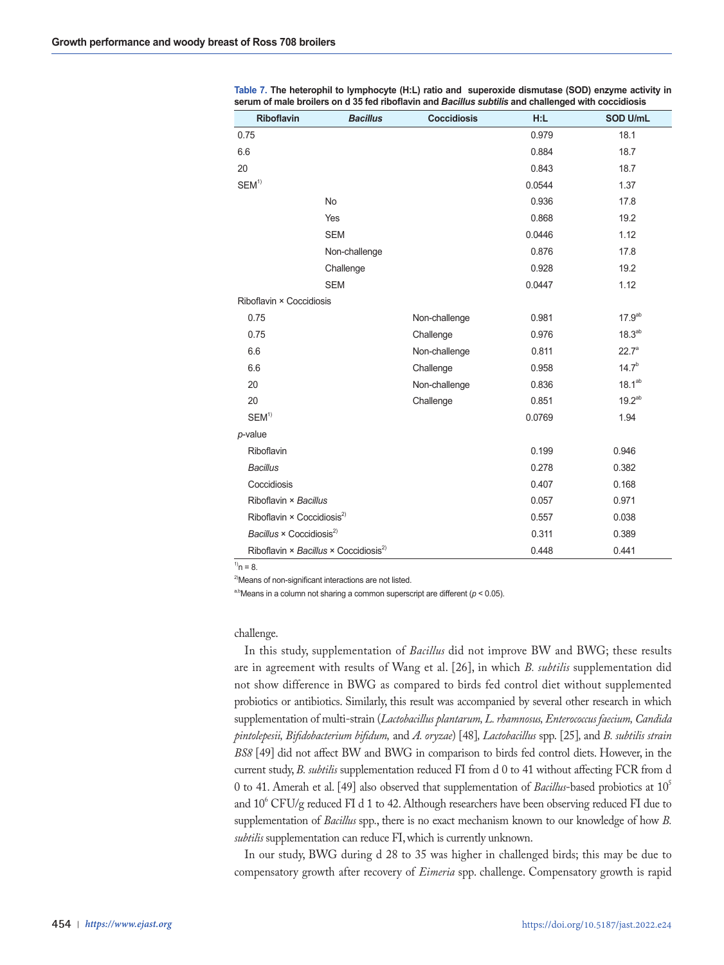| <b>Riboflavin</b>                                 | <b>Bacillus</b> | <b>Coccidiosis</b> | H:L    | SOD U/mL           |
|---------------------------------------------------|-----------------|--------------------|--------|--------------------|
| 0.75                                              |                 |                    | 0.979  | 18.1               |
| 6.6                                               |                 |                    | 0.884  | 18.7               |
| 20                                                |                 |                    | 0.843  | 18.7               |
| SEM <sup>1</sup>                                  |                 |                    | 0.0544 | 1.37               |
|                                                   | No              |                    | 0.936  | 17.8               |
|                                                   | Yes             |                    | 0.868  | 19.2               |
|                                                   | <b>SEM</b>      |                    | 0.0446 | 1.12               |
|                                                   | Non-challenge   |                    | 0.876  | 17.8               |
|                                                   | Challenge       |                    | 0.928  | 19.2               |
|                                                   | <b>SEM</b>      |                    | 0.0447 | 1.12               |
| Riboflavin × Coccidiosis                          |                 |                    |        |                    |
| 0.75                                              |                 | Non-challenge      | 0.981  | $17.9^{ab}$        |
| 0.75                                              |                 | Challenge          | 0.976  | 18.3 <sup>ab</sup> |
| 6.6                                               |                 | Non-challenge      | 0.811  | $22.7^{\circ}$     |
| 6.6                                               |                 | Challenge          | 0.958  | $14.7^{b}$         |
| 20                                                |                 | Non-challenge      | 0.836  | 18.1 <sup>ab</sup> |
| 20                                                |                 | Challenge          | 0.851  | $19.2^{ab}$        |
| $SEM^{1)}$                                        |                 |                    | 0.0769 | 1.94               |
| $p$ -value                                        |                 |                    |        |                    |
| Riboflavin                                        |                 |                    | 0.199  | 0.946              |
| <b>Bacillus</b>                                   |                 |                    | 0.278  | 0.382              |
| Coccidiosis                                       |                 |                    | 0.407  | 0.168              |
| Riboflavin × Bacillus                             |                 |                    | 0.057  | 0.971              |
| Riboflavin $\times$ Coccidiosis <sup>2)</sup>     |                 |                    | 0.557  | 0.038              |
| Bacillus $\times$ Coccidiosis <sup>2)</sup>       |                 |                    | 0.311  | 0.389              |
| Riboflavin × Bacillus × Coccidiosis <sup>2)</sup> |                 |                    | 0.448  | 0.441              |

**Table 7. The heterophil to lymphocyte (H:L) ratio and superoxide dismutase (SOD) enzyme activity in serum of male broilers on d 35 fed riboflavin and** *Bacillus subtilis* **and challenged with coccidiosis**

 $^{1)}n = 8.$ 

<sup>2)</sup>Means of non-significant interactions are not listed.

a,bMeans in a column not sharing a common superscript are different  $(p < 0.05)$ .

# challenge.

In this study, supplementation of *Bacillus* did not improve BW and BWG; these results are in agreement with results of Wang et al. [26], in which *B. subtilis* supplementation did not show difference in BWG as compared to birds fed control diet without supplemented probiotics or antibiotics. Similarly, this result was accompanied by several other research in which supplementation of multi-strain (*Lactobacillus plantarum, L. rhamnosus, Enterococcus faecium, Candida pintolepesii, Bifidobacterium bifidum,* and *A. oryzae*) [48]*, Lactobacillus* spp. [25]*,* and *B. subtilis strain BS8* [49] did not affect BW and BWG in comparison to birds fed control diets. However, in the current study, *B. subtilis* supplementation reduced FI from d 0 to 41 without affecting FCR from d 0 to 41. Amerah et al. [49] also observed that supplementation of *Bacillus*-based probiotics at 105 and 10<sup>6</sup> CFU/g reduced FI d 1 to 42. Although researchers have been observing reduced FI due to supplementation of *Bacillus* spp., there is no exact mechanism known to our knowledge of how *B. subtilis* supplementation can reduce FI, which is currently unknown.

In our study, BWG during d 28 to 35 was higher in challenged birds; this may be due to compensatory growth after recovery of *Eimeria* spp. challenge. Compensatory growth is rapid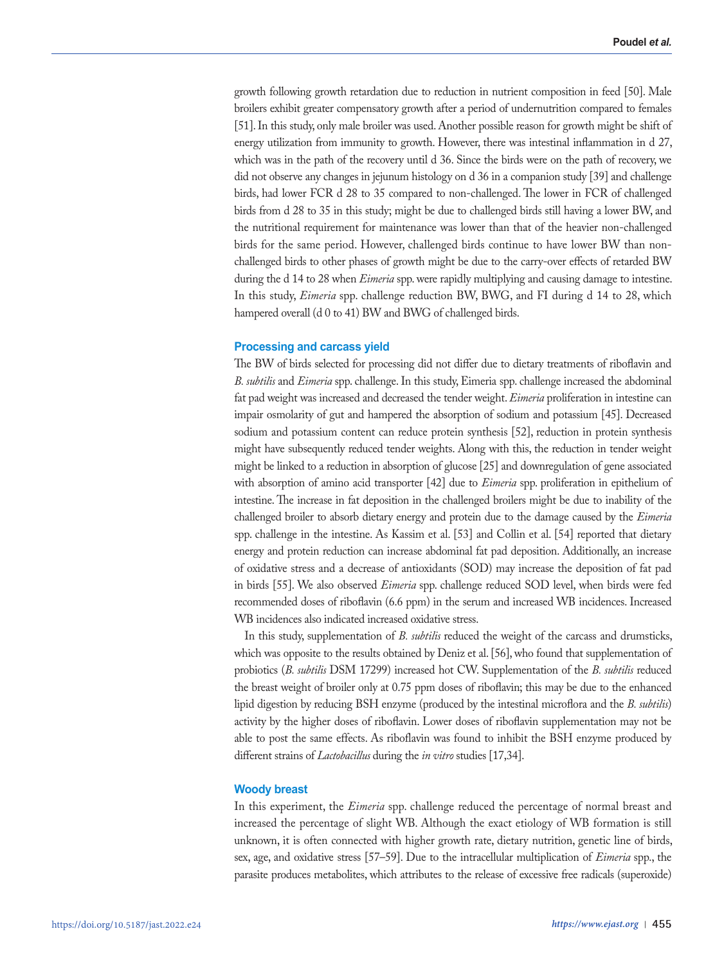growth following growth retardation due to reduction in nutrient composition in feed [50]. Male broilers exhibit greater compensatory growth after a period of undernutrition compared to females [51]. In this study, only male broiler was used. Another possible reason for growth might be shift of energy utilization from immunity to growth. However, there was intestinal inflammation in d 27, which was in the path of the recovery until d 36. Since the birds were on the path of recovery, we did not observe any changes in jejunum histology on d 36 in a companion study [39] and challenge birds, had lower FCR d 28 to 35 compared to non-challenged. The lower in FCR of challenged birds from d 28 to 35 in this study; might be due to challenged birds still having a lower BW, and the nutritional requirement for maintenance was lower than that of the heavier non-challenged birds for the same period. However, challenged birds continue to have lower BW than nonchallenged birds to other phases of growth might be due to the carry-over effects of retarded BW during the d 14 to 28 when *Eimeria* spp. were rapidly multiplying and causing damage to intestine. In this study, *Eimeria* spp. challenge reduction BW, BWG, and FI during d 14 to 28, which hampered overall (d 0 to 41) BW and BWG of challenged birds.

# **Processing and carcass yield**

The BW of birds selected for processing did not differ due to dietary treatments of riboflavin and *B. subtilis* and *Eimeria* spp. challenge. In this study, Eimeria spp. challenge increased the abdominal fat pad weight was increased and decreased the tender weight. *Eimeria* proliferation in intestine can impair osmolarity of gut and hampered the absorption of sodium and potassium [45]. Decreased sodium and potassium content can reduce protein synthesis [52], reduction in protein synthesis might have subsequently reduced tender weights. Along with this, the reduction in tender weight might be linked to a reduction in absorption of glucose [25] and downregulation of gene associated with absorption of amino acid transporter [42] due to *Eimeria* spp. proliferation in epithelium of intestine. The increase in fat deposition in the challenged broilers might be due to inability of the challenged broiler to absorb dietary energy and protein due to the damage caused by the *Eimeria*  spp. challenge in the intestine. As Kassim et al. [53] and Collin et al. [54] reported that dietary energy and protein reduction can increase abdominal fat pad deposition. Additionally, an increase of oxidative stress and a decrease of antioxidants (SOD) may increase the deposition of fat pad in birds [55]. We also observed *Eimeria* spp. challenge reduced SOD level, when birds were fed recommended doses of riboflavin (6.6 ppm) in the serum and increased WB incidences. Increased WB incidences also indicated increased oxidative stress.

In this study, supplementation of *B. subtilis* reduced the weight of the carcass and drumsticks, which was opposite to the results obtained by Deniz et al. [56], who found that supplementation of probiotics (*B. subtilis* DSM 17299) increased hot CW. Supplementation of the *B. subtilis* reduced the breast weight of broiler only at 0.75 ppm doses of riboflavin; this may be due to the enhanced lipid digestion by reducing BSH enzyme (produced by the intestinal microflora and the *B. subtilis*) activity by the higher doses of riboflavin. Lower doses of riboflavin supplementation may not be able to post the same effects. As riboflavin was found to inhibit the BSH enzyme produced by different strains of *Lactobacillus* during the *in vitro* studies [17,34].

# **Woody breast**

In this experiment, the *Eimeria* spp. challenge reduced the percentage of normal breast and increased the percentage of slight WB. Although the exact etiology of WB formation is still unknown, it is often connected with higher growth rate, dietary nutrition, genetic line of birds, sex, age, and oxidative stress [57–59]. Due to the intracellular multiplication of *Eimeria* spp., the parasite produces metabolites, which attributes to the release of excessive free radicals (superoxide)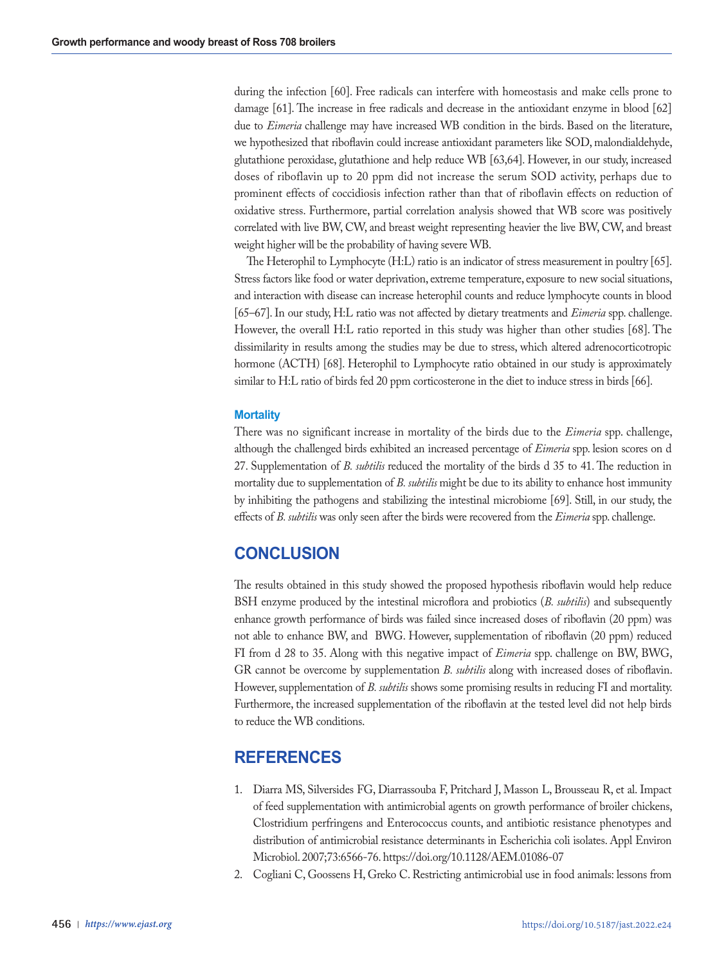during the infection [60]. Free radicals can interfere with homeostasis and make cells prone to damage [61]. The increase in free radicals and decrease in the antioxidant enzyme in blood [62] due to *Eimeria* challenge may have increased WB condition in the birds. Based on the literature, we hypothesized that riboflavin could increase antioxidant parameters like SOD, malondialdehyde, glutathione peroxidase, glutathione and help reduce WB [63,64]. However, in our study, increased doses of riboflavin up to 20 ppm did not increase the serum SOD activity, perhaps due to prominent effects of coccidiosis infection rather than that of riboflavin effects on reduction of oxidative stress. Furthermore, partial correlation analysis showed that WB score was positively correlated with live BW, CW, and breast weight representing heavier the live BW, CW, and breast weight higher will be the probability of having severe WB.

 The Heterophil to Lymphocyte (H:L) ratio is an indicator of stress measurement in poultry [65]. Stress factors like food or water deprivation, extreme temperature, exposure to new social situations, and interaction with disease can increase heterophil counts and reduce lymphocyte counts in blood [65–67]. In our study, H:L ratio was not affected by dietary treatments and *Eimeria* spp. challenge. However, the overall H:L ratio reported in this study was higher than other studies [68]. The dissimilarity in results among the studies may be due to stress, which altered adrenocorticotropic hormone (ACTH) [68]. Heterophil to Lymphocyte ratio obtained in our study is approximately similar to H:L ratio of birds fed 20 ppm corticosterone in the diet to induce stress in birds [66].

# **Mortality**

There was no significant increase in mortality of the birds due to the *Eimeria* spp. challenge, although the challenged birds exhibited an increased percentage of *Eimeria* spp. lesion scores on d 27. Supplementation of *B. subtilis* reduced the mortality of the birds d 35 to 41. The reduction in mortality due to supplementation of *B. subtilis* might be due to its ability to enhance host immunity by inhibiting the pathogens and stabilizing the intestinal microbiome [69]. Still, in our study, the effects of *B. subtilis* was only seen after the birds were recovered from the *Eimeria* spp. challenge.

# **CONCLUSION**

The results obtained in this study showed the proposed hypothesis riboflavin would help reduce BSH enzyme produced by the intestinal microflora and probiotics (*B. subtilis*) and subsequently enhance growth performance of birds was failed since increased doses of riboflavin (20 ppm) was not able to enhance BW, and BWG. However, supplementation of riboflavin (20 ppm) reduced FI from d 28 to 35. Along with this negative impact of *Eimeria* spp. challenge on BW, BWG, GR cannot be overcome by supplementation *B. subtilis* along with increased doses of riboflavin. However, supplementation of *B. subtilis* shows some promising results in reducing FI and mortality. Furthermore, the increased supplementation of the riboflavin at the tested level did not help birds to reduce the WB conditions.

# **REFERENCES**

- 1. Diarra MS, Silversides FG, Diarrassouba F, Pritchard J, Masson L, Brousseau R, et al. Impact of feed supplementation with antimicrobial agents on growth performance of broiler chickens, Clostridium perfringens and Enterococcus counts, and antibiotic resistance phenotypes and distribution of antimicrobial resistance determinants in Escherichia coli isolates. Appl Environ Microbiol. 2007;73:6566-76. https://doi.org/10.1128/AEM.01086-07
- 2. Cogliani C, Goossens H, Greko C. Restricting antimicrobial use in food animals: lessons from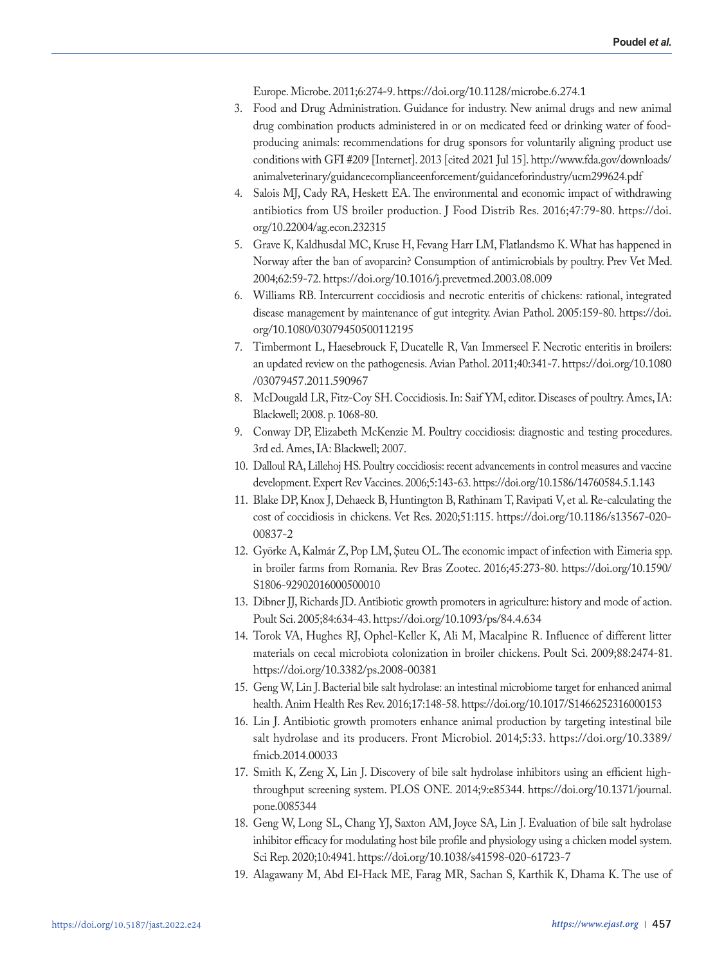Europe. Microbe. 2011;6:274-9. https://doi.org/10.1128/microbe.6.274.1

- 3. Food and Drug Administration. Guidance for industry. New animal drugs and new animal drug combination products administered in or on medicated feed or drinking water of foodproducing animals: recommendations for drug sponsors for voluntarily aligning product use conditions with GFI #209 [Internet]. 2013 [cited 2021 Jul 15]. http://www.fda.gov/downloads/ animalveterinary/guidancecomplianceenforcement/guidanceforindustry/ucm299624.pdf
- 4. Salois MJ, Cady RA, Heskett EA. The environmental and economic impact of withdrawing antibiotics from US broiler production. J Food Distrib Res. 2016;47:79-80. https://doi. org/10.22004/ag.econ.232315
- 5. Grave K, Kaldhusdal MC, Kruse H, Fevang Harr LM, Flatlandsmo K. What has happened in Norway after the ban of avoparcin? Consumption of antimicrobials by poultry. Prev Vet Med. 2004;62:59-72. https://doi.org/10.1016/j.prevetmed.2003.08.009
- 6. Williams RB. Intercurrent coccidiosis and necrotic enteritis of chickens: rational, integrated disease management by maintenance of gut integrity. Avian Pathol. 2005:159-80. https://doi. org/10.1080/03079450500112195
- 7. Timbermont L, Haesebrouck F, Ducatelle R, Van Immerseel F. Necrotic enteritis in broilers: an updated review on the pathogenesis. Avian Pathol. 2011;40:341-7. https://doi.org/10.1080 /03079457.2011.590967
- 8. McDougald LR, Fitz-Coy SH. Coccidiosis. In: Saif YM, editor. Diseases of poultry. Ames, IA: Blackwell; 2008. p. 1068-80.
- 9. Conway DP, Elizabeth McKenzie M. Poultry coccidiosis: diagnostic and testing procedures. 3rd ed. Ames, IA: Blackwell; 2007.
- 10. Dalloul RA, Lillehoj HS. Poultry coccidiosis: recent advancements in control measures and vaccine development. Expert Rev Vaccines. 2006;5:143-63. https://doi.org/10.1586/14760584.5.1.143
- 11. Blake DP, Knox J, Dehaeck B, Huntington B, Rathinam T, Ravipati V, et al. Re-calculating the cost of coccidiosis in chickens. Vet Res. 2020;51:115. https://doi.org/10.1186/s13567-020- 00837-2
- 12. Györke A, Kalmár Z, Pop LM, Şuteu OL. The economic impact of infection with Eimeria spp. in broiler farms from Romania. Rev Bras Zootec. 2016;45:273-80. https://doi.org/10.1590/ S1806-92902016000500010
- 13. Dibner JJ, Richards JD. Antibiotic growth promoters in agriculture: history and mode of action. Poult Sci. 2005;84:634-43. https://doi.org/10.1093/ps/84.4.634
- 14. Torok VA, Hughes RJ, Ophel-Keller K, Ali M, Macalpine R. Influence of different litter materials on cecal microbiota colonization in broiler chickens. Poult Sci. 2009;88:2474-81. https://doi.org/10.3382/ps.2008-00381
- 15. Geng W, Lin J. Bacterial bile salt hydrolase: an intestinal microbiome target for enhanced animal health. Anim Health Res Rev. 2016;17:148-58. https://doi.org/10.1017/S1466252316000153
- 16. Lin J. Antibiotic growth promoters enhance animal production by targeting intestinal bile salt hydrolase and its producers. Front Microbiol. 2014;5:33. https://doi.org/10.3389/ fmicb.2014.00033
- 17. Smith K, Zeng X, Lin J. Discovery of bile salt hydrolase inhibitors using an efficient highthroughput screening system. PLOS ONE. 2014;9:e85344. https://doi.org/10.1371/journal. pone.0085344
- 18. Geng W, Long SL, Chang YJ, Saxton AM, Joyce SA, Lin J. Evaluation of bile salt hydrolase inhibitor efficacy for modulating host bile profile and physiology using a chicken model system. Sci Rep. 2020;10:4941. https://doi.org/10.1038/s41598-020-61723-7
- 19. Alagawany M, Abd El-Hack ME, Farag MR, Sachan S, Karthik K, Dhama K. The use of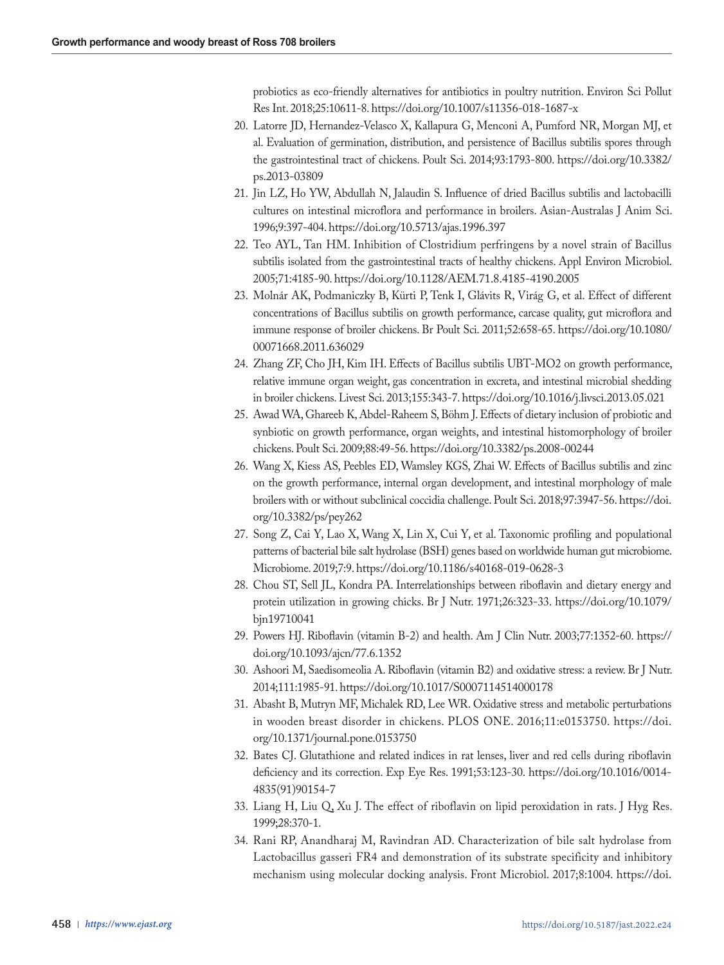probiotics as eco-friendly alternatives for antibiotics in poultry nutrition. Environ Sci Pollut Res Int. 2018;25:10611-8. https://doi.org/10.1007/s11356-018-1687-x

- 20. Latorre JD, Hernandez-Velasco X, Kallapura G, Menconi A, Pumford NR, Morgan MJ, et al. Evaluation of germination, distribution, and persistence of Bacillus subtilis spores through the gastrointestinal tract of chickens. Poult Sci. 2014;93:1793-800. https://doi.org/10.3382/ ps.2013-03809
- 21. Jin LZ, Ho YW, Abdullah N, Jalaudin S. Influence of dried Bacillus subtilis and lactobacilli cultures on intestinal microflora and performance in broilers. Asian-Australas J Anim Sci. 1996;9:397-404. https://doi.org/10.5713/ajas.1996.397
- 22. Teo AYL, Tan HM. Inhibition of Clostridium perfringens by a novel strain of Bacillus subtilis isolated from the gastrointestinal tracts of healthy chickens. Appl Environ Microbiol. 2005;71:4185-90. https://doi.org/10.1128/AEM.71.8.4185-4190.2005
- 23. Molnár AK, Podmaniczky B, Kürti P, Tenk I, Glávits R, Virág G, et al. Effect of different concentrations of Bacillus subtilis on growth performance, carcase quality, gut microflora and immune response of broiler chickens. Br Poult Sci. 2011;52:658-65. https://doi.org/10.1080/ 00071668.2011.636029
- 24. Zhang ZF, Cho JH, Kim IH. Effects of Bacillus subtilis UBT-MO2 on growth performance, relative immune organ weight, gas concentration in excreta, and intestinal microbial shedding in broiler chickens. Livest Sci. 2013;155:343-7. https://doi.org/10.1016/j.livsci.2013.05.021
- 25. Awad WA, Ghareeb K, Abdel-Raheem S, Böhm J. Effects of dietary inclusion of probiotic and synbiotic on growth performance, organ weights, and intestinal histomorphology of broiler chickens. Poult Sci. 2009;88:49-56. https://doi.org/10.3382/ps.2008-00244
- 26. Wang X, Kiess AS, Peebles ED, Wamsley KGS, Zhai W. Effects of Bacillus subtilis and zinc on the growth performance, internal organ development, and intestinal morphology of male broilers with or without subclinical coccidia challenge. Poult Sci. 2018;97:3947-56. https://doi. org/10.3382/ps/pey262
- 27. Song Z, Cai Y, Lao X, Wang X, Lin X, Cui Y, et al. Taxonomic profiling and populational patterns of bacterial bile salt hydrolase (BSH) genes based on worldwide human gut microbiome. Microbiome. 2019;7:9. https://doi.org/10.1186/s40168-019-0628-3
- 28. Chou ST, Sell JL, Kondra PA. Interrelationships between riboflavin and dietary energy and protein utilization in growing chicks. Br J Nutr. 1971;26:323-33. https://doi.org/10.1079/ bjn19710041
- 29. Powers HJ. Riboflavin (vitamin B-2) and health. Am J Clin Nutr. 2003;77:1352-60. https:// doi.org/10.1093/ajcn/77.6.1352
- 30. Ashoori M, Saedisomeolia A. Riboflavin (vitamin B2) and oxidative stress: a review. Br J Nutr. 2014;111:1985-91. https://doi.org/10.1017/S0007114514000178
- 31. Abasht B, Mutryn MF, Michalek RD, Lee WR. Oxidative stress and metabolic perturbations in wooden breast disorder in chickens. PLOS ONE. 2016;11:e0153750. https://doi. org/10.1371/journal.pone.0153750
- 32. Bates CJ. Glutathione and related indices in rat lenses, liver and red cells during riboflavin deficiency and its correction. Exp Eye Res. 1991;53:123-30. https://doi.org/10.1016/0014- 4835(91)90154-7
- 33. Liang H, Liu Q, Xu J. The effect of riboflavin on lipid peroxidation in rats. J Hyg Res. 1999;28:370-1.
- 34. Rani RP, Anandharaj M, Ravindran AD. Characterization of bile salt hydrolase from Lactobacillus gasseri FR4 and demonstration of its substrate specificity and inhibitory mechanism using molecular docking analysis. Front Microbiol. 2017;8:1004. https://doi.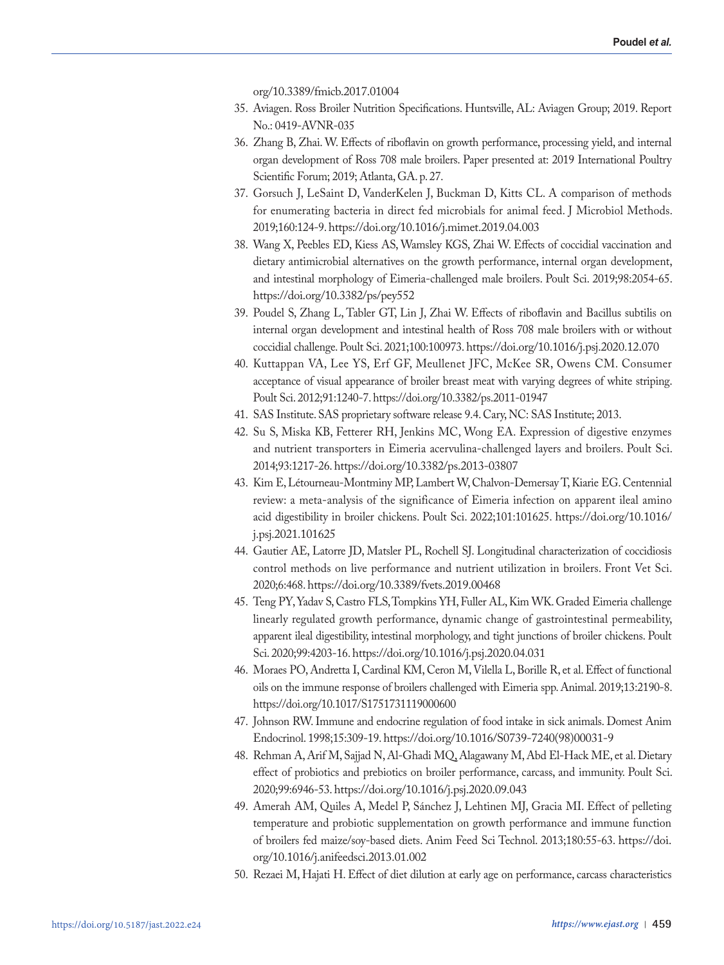org/10.3389/fmicb.2017.01004

- 35. Aviagen. Ross Broiler Nutrition Specifications. Huntsville, AL: Aviagen Group; 2019. Report No.: 0419-AVNR-035
- 36. Zhang B, Zhai. W. Effects of riboflavin on growth performance, processing yield, and internal organ development of Ross 708 male broilers. Paper presented at: 2019 International Poultry Scientific Forum; 2019; Atlanta, GA. p. 27.
- 37. Gorsuch J, LeSaint D, VanderKelen J, Buckman D, Kitts CL. A comparison of methods for enumerating bacteria in direct fed microbials for animal feed. J Microbiol Methods. 2019;160:124-9. https://doi.org/10.1016/j.mimet.2019.04.003
- 38. Wang X, Peebles ED, Kiess AS, Wamsley KGS, Zhai W. Effects of coccidial vaccination and dietary antimicrobial alternatives on the growth performance, internal organ development, and intestinal morphology of Eimeria-challenged male broilers. Poult Sci. 2019;98:2054-65. https://doi.org/10.3382/ps/pey552
- 39. Poudel S, Zhang L, Tabler GT, Lin J, Zhai W. Effects of riboflavin and Bacillus subtilis on internal organ development and intestinal health of Ross 708 male broilers with or without coccidial challenge. Poult Sci. 2021;100:100973. https://doi.org/10.1016/j.psj.2020.12.070
- 40. Kuttappan VA, Lee YS, Erf GF, Meullenet JFC, McKee SR, Owens CM. Consumer acceptance of visual appearance of broiler breast meat with varying degrees of white striping. Poult Sci. 2012;91:1240-7. https://doi.org/10.3382/ps.2011-01947
- 41. SAS Institute. SAS proprietary software release 9.4. Cary, NC: SAS Institute; 2013.
- 42. Su S, Miska KB, Fetterer RH, Jenkins MC, Wong EA. Expression of digestive enzymes and nutrient transporters in Eimeria acervulina-challenged layers and broilers. Poult Sci. 2014;93:1217-26. https://doi.org/10.3382/ps.2013-03807
- 43. Kim E, Létourneau-Montminy MP, Lambert W, Chalvon-Demersay T, Kiarie EG. Centennial review: a meta-analysis of the significance of Eimeria infection on apparent ileal amino acid digestibility in broiler chickens. Poult Sci. 2022;101:101625. https://doi.org/10.1016/ j.psj.2021.101625
- 44. Gautier AE, Latorre JD, Matsler PL, Rochell SJ. Longitudinal characterization of coccidiosis control methods on live performance and nutrient utilization in broilers. Front Vet Sci. 2020;6:468. https://doi.org/10.3389/fvets.2019.00468
- 45. Teng PY, Yadav S, Castro FLS, Tompkins YH, Fuller AL, Kim WK. Graded Eimeria challenge linearly regulated growth performance, dynamic change of gastrointestinal permeability, apparent ileal digestibility, intestinal morphology, and tight junctions of broiler chickens. Poult Sci. 2020;99:4203-16. https://doi.org/10.1016/j.psj.2020.04.031
- 46. Moraes PO, Andretta I, Cardinal KM, Ceron M, Vilella L, Borille R, et al. Effect of functional oils on the immune response of broilers challenged with Eimeria spp. Animal. 2019;13:2190-8. https://doi.org/10.1017/S1751731119000600
- 47. Johnson RW. Immune and endocrine regulation of food intake in sick animals. Domest Anim Endocrinol. 1998;15:309-19. https://doi.org/10.1016/S0739-7240(98)00031-9
- 48. Rehman A, Arif M, Sajjad N, Al-Ghadi MQ, Alagawany M, Abd El-Hack ME, et al. Dietary effect of probiotics and prebiotics on broiler performance, carcass, and immunity. Poult Sci. 2020;99:6946-53. https://doi.org/10.1016/j.psj.2020.09.043
- 49. Amerah AM, Quiles A, Medel P, Sánchez J, Lehtinen MJ, Gracia MI. Effect of pelleting temperature and probiotic supplementation on growth performance and immune function of broilers fed maize/soy-based diets. Anim Feed Sci Technol. 2013;180:55-63. https://doi. org/10.1016/j.anifeedsci.2013.01.002
- 50. Rezaei M, Hajati H. Effect of diet dilution at early age on performance, carcass characteristics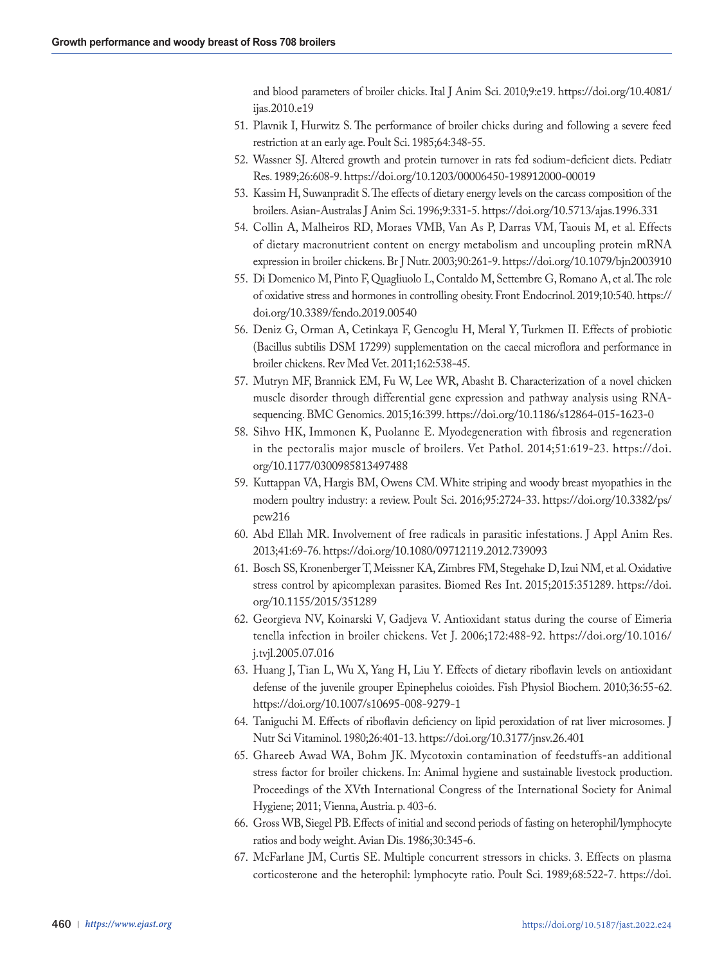and blood parameters of broiler chicks. Ital J Anim Sci. 2010;9:e19. https://doi.org/10.4081/ ijas.2010.e19

- 51. Plavnik I, Hurwitz S. The performance of broiler chicks during and following a severe feed restriction at an early age. Poult Sci. 1985;64:348-55.
- 52. Wassner SJ. Altered growth and protein turnover in rats fed sodium-deficient diets. Pediatr Res. 1989;26:608-9. https://doi.org/10.1203/00006450-198912000-00019
- 53. Kassim H, Suwanpradit S. The effects of dietary energy levels on the carcass composition of the broilers. Asian-Australas J Anim Sci. 1996;9:331-5. https://doi.org/10.5713/ajas.1996.331
- 54. Collin A, Malheiros RD, Moraes VMB, Van As P, Darras VM, Taouis M, et al. Effects of dietary macronutrient content on energy metabolism and uncoupling protein mRNA expression in broiler chickens. Br J Nutr. 2003;90:261-9. https://doi.org/10.1079/bjn2003910
- 55. Di Domenico M, Pinto F, Quagliuolo L, Contaldo M, Settembre G, Romano A, et al. The role of oxidative stress and hormones in controlling obesity. Front Endocrinol. 2019;10:540. https:// doi.org/10.3389/fendo.2019.00540
- 56. Deniz G, Orman A, Cetinkaya F, Gencoglu H, Meral Y, Turkmen II. Effects of probiotic (Bacillus subtilis DSM 17299) supplementation on the caecal microflora and performance in broiler chickens. Rev Med Vet. 2011;162:538-45.
- 57. Mutryn MF, Brannick EM, Fu W, Lee WR, Abasht B. Characterization of a novel chicken muscle disorder through differential gene expression and pathway analysis using RNAsequencing. BMC Genomics. 2015;16:399. https://doi.org/10.1186/s12864-015-1623-0
- 58. Sihvo HK, Immonen K, Puolanne E. Myodegeneration with fibrosis and regeneration in the pectoralis major muscle of broilers. Vet Pathol. 2014;51:619-23. https://doi. org/10.1177/0300985813497488
- 59. Kuttappan VA, Hargis BM, Owens CM. White striping and woody breast myopathies in the modern poultry industry: a review. Poult Sci. 2016;95:2724-33. https://doi.org/10.3382/ps/ pew216
- 60. Abd Ellah MR. Involvement of free radicals in parasitic infestations. J Appl Anim Res. 2013;41:69-76. https://doi.org/10.1080/09712119.2012.739093
- 61. Bosch SS, Kronenberger T, Meissner KA, Zimbres FM, Stegehake D, Izui NM, et al. Oxidative stress control by apicomplexan parasites. Biomed Res Int. 2015;2015:351289. https://doi. org/10.1155/2015/351289
- 62. Georgieva NV, Koinarski V, Gadjeva V. Antioxidant status during the course of Eimeria tenella infection in broiler chickens. Vet J. 2006;172:488-92. https://doi.org/10.1016/ j.tvjl.2005.07.016
- 63. Huang J, Tian L, Wu X, Yang H, Liu Y. Effects of dietary riboflavin levels on antioxidant defense of the juvenile grouper Epinephelus coioides. Fish Physiol Biochem. 2010;36:55-62. https://doi.org/10.1007/s10695-008-9279-1
- 64. Taniguchi M. Effects of riboflavin deficiency on lipid peroxidation of rat liver microsomes. J Nutr Sci Vitaminol. 1980;26:401-13. https://doi.org/10.3177/jnsv.26.401
- 65. Ghareeb Awad WA, Bohm JK. Mycotoxin contamination of feedstuffs-an additional stress factor for broiler chickens. In: Animal hygiene and sustainable livestock production. Proceedings of the XVth International Congress of the International Society for Animal Hygiene; 2011; Vienna, Austria. p. 403-6.
- 66. Gross WB, Siegel PB. Effects of initial and second periods of fasting on heterophil/lymphocyte ratios and body weight. Avian Dis. 1986;30:345-6.
- 67. McFarlane JM, Curtis SE. Multiple concurrent stressors in chicks. 3. Effects on plasma corticosterone and the heterophil: lymphocyte ratio. Poult Sci. 1989;68:522-7. https://doi.